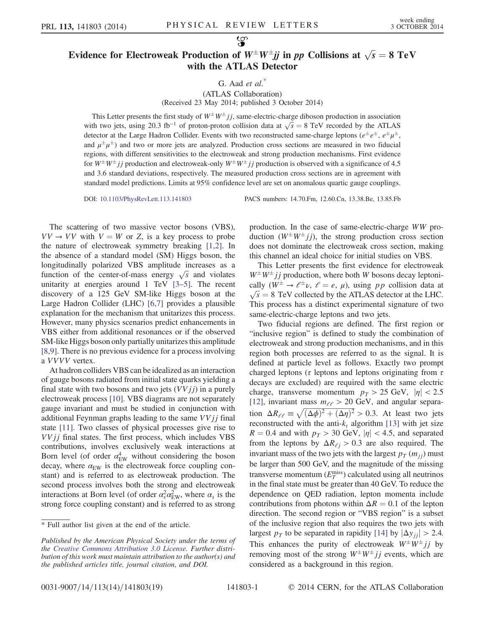## Evidence for Electroweak Production of  $W^{\pm}W^{\pm}jj$  in pp Collisions at  $\sqrt{s} = 8$  TeV with the ATLAS Detector

G. Aad  $et \ al.^*$ 

(ATLAS Collaboration) (Received 23 May 2014; published 3 October 2014)

This Letter presents the first study of  $W^{\pm}W^{\pm}jj$ , same-electric-charge diboson production in association This Letter presents the first study of  $W^+W^+jj$ , same-electric-charge diboson production in association with two jets, using 20.3 fb<sup>-1</sup> of proton-proton collision data at  $\sqrt{s} = 8$  TeV recorded by the ATLAS detector at the Large Hadron Collider. Events with two reconstructed same-charge leptons ( $e^{\pm}e^{\pm}$ ,  $e^{\pm}\mu^{\pm}$ , and  $\mu^{\pm}\mu^{\pm}$ ) and two or more jets are analyzed. Production cross sections are measured in two fiducial regions, with different sensitivities to the electroweak and strong production mechanisms. First evidence for  $W^{\pm}W^{\pm}jj$  production and electroweak-only  $W^{\pm}W^{\pm}jj$  production is observed with a significance of 4.5 and 3.6 standard deviations, respectively. The measured production cross sections are in agreement with standard model predictions. Limits at 95% confidence level are set on anomalous quartic gauge couplings.

DOI: [10.1103/PhysRevLett.113.141803](http://dx.doi.org/10.1103/PhysRevLett.113.141803) PACS numbers: 14.70.Fm, 12.60.Cn, 13.38.Be, 13.85.Fb

The scattering of two massive vector bosons (VBS),  $VV \rightarrow VV$  with  $V = W$  or Z, is a key process to probe the nature of electroweak symmetry breaking [\[1,2\]](#page-4-0). In the absence of a standard model (SM) Higgs boson, the longitudinally polarized VBS amplitude increases as a longitudinally polarized VBS amplitude increases as a function of the center-of-mass energy  $\sqrt{s}$  and violates unitarity at energies around 1 TeV [3–[5\].](#page-4-1) The recent discovery of a 125 GeV SM-like Higgs boson at the Large Hadron Collider (LHC) [\[6,7\]](#page-4-2) provides a plausible explanation for the mechanism that unitarizes this process. However, many physics scenarios predict enhancements in VBS either from additional resonances or if the observed SM-like Higgs boson only partially unitarizes this amplitude [\[8,9\].](#page-4-3) There is no previous evidence for a process involving a VVVV vertex.

At hadron colliders VBS can be idealized as an interaction of gauge bosons radiated from initial state quarks yielding a final state with two bosons and two jets  $(VVjj)$  in a purely electroweak process [\[10\]](#page-5-0). VBS diagrams are not separately gauge invariant and must be studied in conjunction with additional Feynman graphs leading to the same  $VVjj$  final state [\[11\]](#page-5-1). Two classes of physical processes give rise to  $VVjj$  final states. The first process, which includes VBS contributions, involves exclusively weak interactions at Born level (of order  $\alpha_{\text{EW}}^4$  without considering the boson decay, where  $\alpha_{EW}$  is the electroweak force coupling constant) and is referred to as electroweak production. The second process involves both the strong and electroweak interactions at Born level (of order  $\alpha_s^2 \alpha_{\rm EW}^2$ , where  $\alpha_s$  is the strong force coupling constant) and is referred to as strong production. In the case of same-electric-charge WW production  $(W^{\pm}W^{\pm}jj)$ , the strong production cross section does not dominate the electroweak cross section, making this channel an ideal choice for initial studies on VBS.

This Letter presents the first evidence for electroweak  $W^{\pm}W^{\pm}$  *j* production, where both W bosons decay leptonically  $(W^{\pm} \to \ell^{\pm} \nu, \ell = e, \mu)$ , using pp collision data at  $\sqrt{s}$  = 8 TeV collected by the ATLAS detector at the LHC. This process has a distinct experimental signature of two same-electric-charge leptons and two jets.

Two fiducial regions are defined. The first region or "inclusive region" is defined to study the combination of electroweak and strong production mechanisms, and in this region both processes are referred to as the signal. It is defined at particle level as follows. Exactly two prompt charged leptons ( $\tau$  leptons and leptons originating from  $\tau$ decays are excluded) are required with the same electric charge, transverse momentum  $p_T > 25$  GeV,  $|\eta| < 2.5$ [\[12\]](#page-5-2), invariant mass  $m_{\ell\ell} > 20$  GeV, and angular separa-[12], invariant mass  $m_{e\ell} > 20$  GeV, and angular separation  $\Delta R_{e\ell} \equiv \sqrt{(\Delta \phi)^2 + (\Delta \eta)^2} > 0.3$ . At least two jets reconstructed with the anti- $k_t$  algorithm [\[13\]](#page-5-3) with jet size  $R = 0.4$  and with  $p<sub>T</sub> > 30$  GeV,  $|\eta| < 4.5$ , and separated from the leptons by  $\Delta R_{\ell j} > 0.3$  are also required. The invariant mass of the two jets with the largest  $p_T (m_{ij})$  must be larger than 500 GeV, and the magnitude of the missing transverse momentum  $(E_T^{\text{miss}})$  calculated using all neutrinos in the final state must be greater than 40 GeV. To reduce the dependence on QED radiation, lepton momenta include contributions from photons within  $\Delta R = 0.1$  of the lepton direction. The second region or "VBS region" is a subset of the inclusive region that also requires the two jets with largest  $p_T$  to be separated in rapidity [\[14\]](#page-5-4) by  $|\Delta y_{ij}| > 2.4$ . This enhances the purity of electroweak  $W^{\pm}W^{\pm}jj$  by removing most of the strong  $W^{\pm}W^{\pm}jj$  events, which are considered as a background in this region.

<sup>\*</sup> Full author list given at the end of the article.

Published by the American Physical Society under the terms of the [Creative Commons Attribution 3.0 License.](http://creativecommons.org/licenses/by/3.0/) Further distribution of this work must maintain attribution to the author(s) and the published articles title, journal citation, and DOI.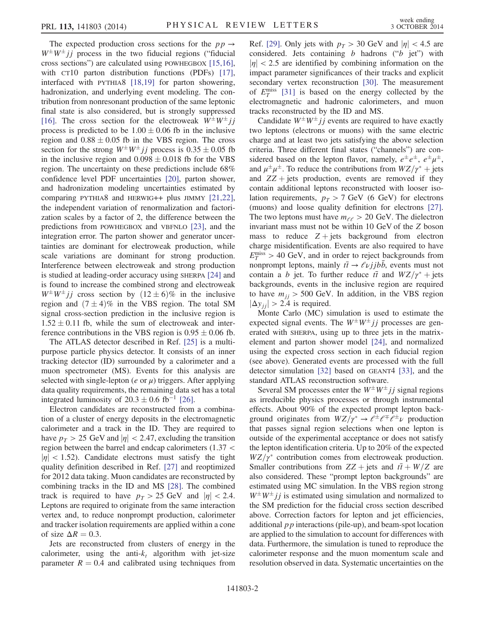The expected production cross sections for the  $pp \rightarrow$  $W^{\pm}W^{\pm}$  *i* process in the two fiducial regions ("fiducial" cross sections") are calculated using POWHEGBOX [\[15,16\]](#page-5-5), with CT10 parton distribution functions (PDFs) [\[17\]](#page-5-6), interfaced with PYTHIA8 [\[18,19\]](#page-5-7) for parton showering, hadronization, and underlying event modeling. The contribution from nonresonant production of the same leptonic final state is also considered, but is strongly suppressed [\[16\]](#page-5-8). The cross section for the electroweak  $W^{\pm}W^{\pm}$  j process is predicted to be  $1.00 \pm 0.06$  fb in the inclusive region and  $0.88 \pm 0.05$  fb in the VBS region. The cross section for the strong  $W^{\pm}W^{\pm}jj$  process is  $0.35 \pm 0.05$  fb in the inclusive region and  $0.098 \pm 0.018$  fb for the VBS region. The uncertainty on these predictions include 68% confidence level PDF uncertainties [\[20\],](#page-5-9) parton shower, and hadronization modeling uncertainties estimated by comparing PYTHIA8 and HERWIG++ plus JIMMY [\[21,22\]](#page-5-10), the independent variation of renormalization and factorization scales by a factor of 2, the difference between the predictions from POWHEGBOX and VBFNLO [\[23\]](#page-5-11), and the integration error. The parton shower and generator uncertainties are dominant for electroweak production, while scale variations are dominant for strong production. Interference between electroweak and strong production is studied at leading-order accuracy using SHERPA [\[24\]](#page-5-12) and is found to increase the combined strong and electroweak  $W^{\pm}W^{\pm}$  *i* i cross section by  $(12 \pm 6)\%$  in the inclusive region and  $(7 \pm 4)\%$  in the VBS region. The total SM signal cross-section prediction in the inclusive region is  $1.52 \pm 0.11$  fb, while the sum of electroweak and interference contributions in the VBS region is  $0.95 \pm 0.06$  fb.

The ATLAS detector described in Ref. [\[25\]](#page-5-13) is a multipurpose particle physics detector. It consists of an inner tracking detector (ID) surrounded by a calorimeter and a muon spectrometer (MS). Events for this analysis are selected with single-lepton (*e* or  $\mu$ ) triggers. After applying data quality requirements, the remaining data set has a total integrated luminosity of  $20.3 \pm 0.6$  fb<sup>-1</sup> [\[26\]](#page-5-14).

Electron candidates are reconstructed from a combination of a cluster of energy deposits in the electromagnetic calorimeter and a track in the ID. They are required to have  $p_T > 25$  GeV and  $|\eta| < 2.47$ , excluding the transition region between the barrel and endcap calorimeters (1.37 <  $|\eta|$  < 1.52). Candidate electrons must satisfy the tight quality definition described in Ref. [\[27\]](#page-5-15) and reoptimized for 2012 data taking. Muon candidates are reconstructed by combining tracks in the ID and MS [\[28\].](#page-5-16) The combined track is required to have  $p_T > 25$  GeV and  $|\eta| < 2.4$ . Leptons are required to originate from the same interaction vertex and, to reduce nonprompt production, calorimeter and tracker isolation requirements are applied within a cone of size  $\Delta R = 0.3$ .

Jets are reconstructed from clusters of energy in the calorimeter, using the anti- $k_t$  algorithm with jet-size parameter  $R = 0.4$  and calibrated using techniques from Ref. [\[29\].](#page-5-17) Only jets with  $p_T > 30$  GeV and  $|\eta| < 4.5$  are considered. Jets containing  $b$  hadrons (" $b$  jet") with  $|\eta|$  < 2.5 are identified by combining information on the impact parameter significances of their tracks and explicit secondary vertex reconstruction [\[30\]](#page-5-18). The measurement of  $E_T^{\text{miss}}$  [\[31\]](#page-5-19) is based on the energy collected by the electromagnetic and hadronic calorimeters, and muon tracks reconstructed by the ID and MS.

Candidate  $W^{\pm}W^{\pm}jj$  events are required to have exactly two leptons (electrons or muons) with the same electric charge and at least two jets satisfying the above selection criteria. Three different final states ("channels") are considered based on the lepton flavor, namely,  $e^{\pm}e^{\pm}$ ,  $e^{\pm}\mu^{\pm}$ , and  $\mu^{\pm}\mu^{\pm}$ . To reduce the contributions from  $WZ/\gamma^*$  + jets and  $ZZ + jets$  production, events are removed if they contain additional leptons reconstructed with looser isolation requirements,  $p_T > 7$  GeV (6 GeV) for electrons (muons) and loose quality definition for electrons [\[27\]](#page-5-15). The two leptons must have  $m_{\ell\ell} > 20$  GeV. The dielectron invariant mass must not be within 10 GeV of the Z boson mass to reduce  $Z + jets$  background from electron charge misidentification. Events are also required to have  $E_T^{\text{miss}} > 40$  GeV, and in order to reject backgrounds from nonprompt leptons, mainly  $t\bar{t} \rightarrow \ell \nu jjbb$ , events must not contain a b jet. To further reduce  $t\bar{t}$  and  $WZ/\gamma^*$  + jets backgrounds, events in the inclusive region are required to have  $m_{ij} > 500$  GeV. In addition, in the VBS region  $|\Delta y_{ij}| > 2.4$  is required.

Monte Carlo (MC) simulation is used to estimate the expected signal events. The  $W^{\pm}W^{\pm}jj$  processes are generated with SHERPA, using up to three jets in the matrixelement and parton shower model [\[24\]](#page-5-12), and normalized using the expected cross section in each fiducial region (see above). Generated events are processed with the full detector simulation [\[32\]](#page-5-20) based on GEANT4 [\[33\],](#page-5-21) and the standard ATLAS reconstruction software.

Several SM processes enter the  $W^{\pm}W^{\pm}$  *j* is signal regions as irreducible physics processes or through instrumental effects. About 90% of the expected prompt lepton background originates from  $WZ/\gamma^* \to e^{\pm}e^{\mp}e^{\pm}\nu$  production that passes signal region selections when one lepton is outside of the experimental acceptance or does not satisfy the lepton identification criteria. Up to 20% of the expected  $WZ/\gamma^*$  contribution comes from electroweak production. Smaller contributions from  $ZZ + \text{jets}$  and  $t\bar{t} + W/Z$  are also considered. These "prompt lepton backgrounds" are estimated using MC simulation. In the VBS region strong  $W^{\pm}W^{\pm}jj$  is estimated using simulation and normalized to the SM prediction for the fiducial cross section described above. Correction factors for lepton and jet efficiencies, additional  $p\,p$  interactions (pile-up), and beam-spot location are applied to the simulation to account for differences with data. Furthermore, the simulation is tuned to reproduce the calorimeter response and the muon momentum scale and resolution observed in data. Systematic uncertainties on the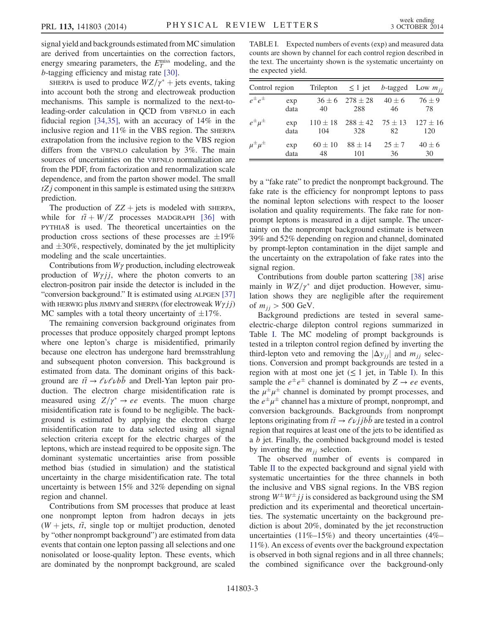signal yield and backgrounds estimated from MC simulation are derived from uncertainties on the correction factors, energy smearing parameters, the  $E_T^{\text{miss}}$  modeling, and the b-tagging efficiency and mistag rate [\[30\]](#page-5-18).

SHERPA is used to produce  $WZ/\gamma^*$  + jets events, taking into account both the strong and electroweak production mechanisms. This sample is normalized to the next-toleading-order calculation in QCD from VBFNLO in each fiducial region [\[34,35\]](#page-5-22), with an accuracy of 14% in the inclusive region and 11% in the VBS region. The SHERPA extrapolation from the inclusive region to the VBS region differs from the VBFNLO calculation by 3%. The main sources of uncertainties on the VBFNLO normalization are from the PDF, from factorization and renormalization scale dependence, and from the parton shower model. The small  $tZj$  component in this sample is estimated using the SHERPA prediction.

The production of  $ZZ + \text{jets}$  is modeled with SHERPA, while for  $t\bar{t} + W/Z$  processes MADGRAPH [\[36\]](#page-5-23) with PYTHIA8 is used. The theoretical uncertainties on the production cross sections of these processes are  $\pm 19\%$ and  $\pm 30\%$ , respectively, dominated by the jet multiplicity modeling and the scale uncertainties.

Contributions from  $W\gamma$  production, including electroweak production of  $W\gamma i$ , where the photon converts to an electron-positron pair inside the detector is included in the "conversion background." It is estimated using ALPGEN [\[37\]](#page-5-24) with HERWIG plus JIMMY and SHERPA (for electroweak  $W\gamma i j$ ) MC samples with a total theory uncertainty of  $\pm 17\%$ .

The remaining conversion background originates from processes that produce oppositely charged prompt leptons where one lepton's charge is misidentified, primarily because one electron has undergone hard bremsstrahlung and subsequent photon conversion. This background is estimated from data. The dominant origins of this background are  $t\bar{t} \rightarrow \ell \nu \ell \nu b \bar{b}$  and Drell-Yan lepton pair production. The electron charge misidentification rate is measured using  $Z/\gamma^* \rightarrow ee$  events. The muon charge misidentification rate is found to be negligible. The background is estimated by applying the electron charge misidentification rate to data selected using all signal selection criteria except for the electric charges of the leptons, which are instead required to be opposite sign. The dominant systematic uncertainties arise from possible method bias (studied in simulation) and the statistical uncertainty in the charge misidentification rate. The total uncertainty is between 15% and 32% depending on signal region and channel.

Contributions from SM processes that produce at least one nonprompt lepton from hadron decays in jets  $(W + jets, t\bar{t}, singlet top or multijet production, denoted$ by "other nonprompt background") are estimated from data events that contain one lepton passing all selections and one nonisolated or loose-quality lepton. These events, which are dominated by the nonprompt background, are scaled

<span id="page-2-0"></span>TABLE I. Expected numbers of events (exp) and measured data counts are shown by channel for each control region described in the text. The uncertainty shown is the systematic uncertainty on the expected yield.

| Control region       |             | Trilepton $\leq 1$ jet |                                  | $b$ -tagged       | Low $m_{ii}$        |  |
|----------------------|-------------|------------------------|----------------------------------|-------------------|---------------------|--|
| $e^{\pm}e^{\pm}$     | exp<br>data | 40                     | $36 \pm 6$ $278 \pm 28$<br>288   | $40 \pm 6$<br>46  | $76 \pm 9$<br>78    |  |
| $e^{\pm} \mu^{\pm}$  | exp<br>data | 104                    | $110 \pm 18$ 288 $\pm 42$<br>328 | $75 \pm 13$<br>82 | $127 \pm 16$<br>120 |  |
| $\mu^{\pm}\mu^{\pm}$ | exp<br>data | $60 \pm 10$<br>48      | $88 \pm 14$<br>101               | $25 \pm 7$<br>36  | $40 \pm 6$<br>30    |  |

by a "fake rate" to predict the nonprompt background. The fake rate is the efficiency for nonprompt leptons to pass the nominal lepton selections with respect to the looser isolation and quality requirements. The fake rate for nonprompt leptons is measured in a dijet sample. The uncertainty on the nonprompt background estimate is between 39% and 52% depending on region and channel, dominated by prompt-lepton contamination in the dijet sample and the uncertainty on the extrapolation of fake rates into the signal region.

Contributions from double parton scattering [\[38\]](#page-5-25) arise mainly in  $WZ/\gamma^*$  and dijet production. However, simulation shows they are negligible after the requirement of  $m_{ij} > 500 \text{ GeV}$ .

Background predictions are tested in several sameelectric-charge dilepton control regions summarized in Table [I.](#page-2-0) The MC modeling of prompt backgrounds is tested in a trilepton control region defined by inverting the third-lepton veto and removing the  $|\Delta y_{ij}|$  and  $m_{ij}$  selections. Conversion and prompt backgrounds are tested in a region with at most one jet  $(\leq 1)$  jet, in Table [I\)](#page-2-0). In this sample the  $e^{\pm}e^{\pm}$  channel is dominated by  $Z \rightarrow ee$  events, the  $\mu^{\pm} \mu^{\pm}$  channel is dominated by prompt processes, and the  $e^{\pm}\mu^{\pm}$  channel has a mixture of prompt, nonprompt, and conversion backgrounds. Backgrounds from nonprompt leptons originating from  $t\bar{t} \rightarrow \ell \nu j j b \bar{b}$  are tested in a control region that requires at least one of the jets to be identified as a  $b$  jet. Finally, the combined background model is tested by inverting the  $m_{ij}$  selection.

The observed number of events is compared in Table [II](#page-3-0) to the expected background and signal yield with systematic uncertainties for the three channels in both the inclusive and VBS signal regions. In the VBS region strong  $W^{\pm}W^{\pm}jj$  is considered as background using the SM prediction and its experimental and theoretical uncertainties. The systematic uncertainty on the background prediction is about 20%, dominated by the jet reconstruction uncertainties (11%–15%) and theory uncertainties (4%– 11%). An excess of events over the background expectation is observed in both signal regions and in all three channels; the combined significance over the background-only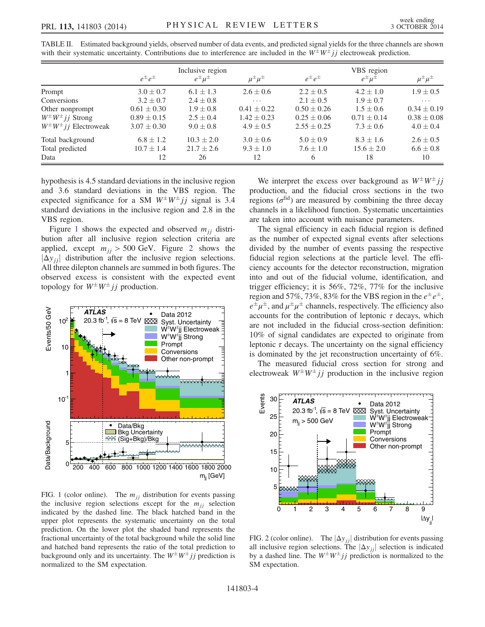|                                | $e^{\pm}e^{\pm}$ | Inclusive region<br>$e^{\pm} \mu^{\pm}$ | $\mu^{\pm}\mu^{\pm}$ | $e^{\pm}e^{\pm}$ | VBS region<br>$e^{\pm} \mu^{\pm}$ | $\mu^{\pm}\mu^{\pm}$ |
|--------------------------------|------------------|-----------------------------------------|----------------------|------------------|-----------------------------------|----------------------|
| Prompt                         | $3.0 \pm 0.7$    | $6.1 \pm 1.3$                           | $2.6 \pm 0.6$        | $2.2 \pm 0.5$    | $4.2 \pm 1.0$                     | $1.9 \pm 0.5$        |
| Conversions                    | $3.2 \pm 0.7$    | $2.4 \pm 0.8$                           | $\cdots$             | $2.1 \pm 0.5$    | $1.9 \pm 0.7$                     | $\cdots$             |
| Other nonprompt                | $0.61 \pm 0.30$  | $1.9 \pm 0.8$                           | $0.41 \pm 0.22$      | $0.50 \pm 0.26$  | $1.5 \pm 0.6$                     | $0.34 \pm 0.19$      |
| $W^{\pm}W^{\pm}jj$ Strong      | $0.89 \pm 0.15$  | $2.5 \pm 0.4$                           | $1.42 \pm 0.23$      | $0.25 \pm 0.06$  | $0.71 \pm 0.14$                   | $0.38 \pm 0.08$      |
| $W^{\pm}W^{\pm}jj$ Electroweak | $3.07 \pm 0.30$  | $9.0 \pm 0.8$                           | $4.9 \pm 0.5$        | $2.55 \pm 0.25$  | $7.3 \pm 0.6$                     | $4.0 \pm 0.4$        |
| Total background               | $6.8 \pm 1.2$    | $10.3 \pm 2.0$                          | $3.0 \pm 0.6$        | $5.0 \pm 0.9$    | $8.3 \pm 1.6$                     | $2.6 \pm 0.5$        |
| Total predicted                | $10.7 \pm 1.4$   | $21.7 \pm 2.6$                          | $9.3 \pm 1.0$        | $7.6 \pm 1.0$    | $15.6 \pm 2.0$                    | $6.6 \pm 0.8$        |
| Data                           | 12               | 26                                      | 12                   | 6                | 18                                | 10                   |

<span id="page-3-0"></span>TABLE II. Estimated background yields, observed number of data events, and predicted signal yields for the three channels are shown with their systematic uncertainty. Contributions due to interference are included in the  $W^{\pm}W^{\pm}j j$  electroweak prediction.

hypothesis is 4.5 standard deviations in the inclusive region and 3.6 standard deviations in the VBS region. The expected significance for a SM  $W^{\pm}W^{\pm}jj$  signal is 3.4 standard deviations in the inclusive region and 2.8 in the VBS region.

Figure [1](#page-3-1) shows the expected and observed  $m_{ij}$  distribution after all inclusive region selection criteria are applied, except  $m_{ij} > 500$  GeV. Figure [2](#page-3-2) shows the  $|\Delta y_{ij}|$  distribution after the inclusive region selections. All three dilepton channels are summed in both figures. The observed excess is consistent with the expected event topology for  $W^{\pm}W^{\pm}jj$  production.

<span id="page-3-1"></span>

FIG. 1 (color online). The  $m_{ij}$  distribution for events passing the inclusive region selections except for the  $m_{ij}$  selection indicated by the dashed line. The black hatched band in the upper plot represents the systematic uncertainty on the total prediction. On the lower plot the shaded band represents the fractional uncertainty of the total background while the solid line and hatched band represents the ratio of the total prediction to background only and its uncertainty. The  $W^{\pm}W^{\pm}jj$  prediction is normalized to the SM expectation.

We interpret the excess over background as  $W^{\pm}W^{\pm}jj$ production, and the fiducial cross sections in the two regions ( $\sigma^{\text{fid}}$ ) are measured by combining the three decay channels in a likelihood function. Systematic uncertainties are taken into account with nuisance parameters.

The signal efficiency in each fiducial region is defined as the number of expected signal events after selections divided by the number of events passing the respective fiducial region selections at the particle level. The efficiency accounts for the detector reconstruction, migration into and out of the fiducial volume, identification, and trigger efficiency; it is 56%, 72%, 77% for the inclusive region and 57%, 73%, 83% for the VBS region in the  $e^{\pm}e^{\pm}$ ,  $e^{\pm}\mu^{\pm}$ , and  $\mu^{\pm}\mu^{\pm}$  channels, respectively. The efficiency also accounts for the contribution of leptonic  $\tau$  decays, which are not included in the fiducial cross-section definition: 10% of signal candidates are expected to originate from leptonic  $\tau$  decays. The uncertainty on the signal efficiency is dominated by the jet reconstruction uncertainty of 6%.

The measured fiducial cross section for strong and electroweak  $W^{\pm}W^{\pm}jj$  production in the inclusive region

<span id="page-3-2"></span>

FIG. 2 (color online). The  $|\Delta y_{jj}|$  distribution for events passing all inclusive region selections. The  $|\Delta y_{jj}|$  selection is indicated by a dashed line. The  $W^{\pm}W^{\pm}jj$  prediction is normalized to the SM expectation.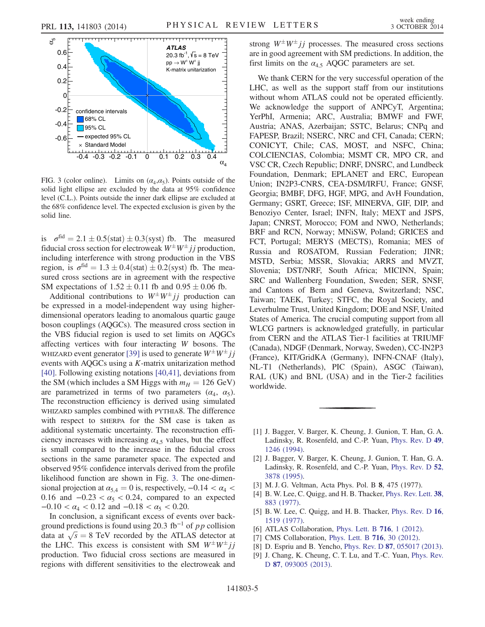<span id="page-4-4"></span>

FIG. 3 (color online). Limits on  $(\alpha_4, \alpha_5)$ . Points outside of the solid light ellipse are excluded by the data at 95% confidence level (C.L.). Points outside the inner dark ellipse are excluded at the 68% confidence level. The expected exclusion is given by the solid line.

is  $\sigma^{\text{fid}} = 2.1 \pm 0.5 \text{(stat)} \pm 0.3 \text{(syst)}$  fb. The measured fiducial cross section for electroweak  $W^{\pm}W^{\pm}jj$  production, including interference with strong production in the VBS region, is  $\sigma^{\text{fid}} = 1.3 \pm 0.4$ (stat)  $\pm 0.2$ (syst) fb. The measured cross sections are in agreement with the respective SM expectations of  $1.52 \pm 0.11$  fb and  $0.95 \pm 0.06$  fb.

Additional contributions to  $W^{\pm}W^{\pm}jj$  production can be expressed in a model-independent way using higherdimensional operators leading to anomalous quartic gauge boson couplings (AQGCs). The measured cross section in the VBS fiducial region is used to set limits on AQGCs affecting vertices with four interacting W bosons. The WHIZARD event generator [\[39\]](#page-5-26) is used to generate  $W^{\pm}W^{\pm}jj$ events with AQGCs using a K-matrix unitarization method [\[40\]](#page-5-27). Following existing notations [\[40,41\]](#page-5-27), deviations from the SM (which includes a SM Higgs with  $m_H = 126$  GeV) are parametrized in terms of two parameters  $(\alpha_4, \alpha_5)$ . The reconstruction efficiency is derived using simulated WHIZARD samples combined with PYTHIA8. The difference with respect to SHERPA for the SM case is taken as additional systematic uncertainty. The reconstruction efficiency increases with increasing  $\alpha_{4,5}$  values, but the effect is small compared to the increase in the fiducial cross sections in the same parameter space. The expected and observed 95% confidence intervals derived from the profile likelihood function are shown in Fig. [3](#page-4-4). The one-dimensional projection at  $\alpha_{5,4} = 0$  is, respectively,  $-0.14 < \alpha_4 <$ 0.16 and  $-0.23 < \alpha_5 < 0.24$ , compared to an expected  $-0.10 < \alpha_4 < 0.12$  and  $-0.18 < \alpha_5 < 0.20$ .

In conclusion, a significant excess of events over background predictions is found using 20.3 fb<sup>-1</sup> of  $pp$  collision ground predictions is found using 20.3 tb<sup>-1</sup> of pp collision<br>data at  $\sqrt{s} = 8$  TeV recorded by the ATLAS detector at the LHC. This excess is consistent with SM  $W^{\pm}W^{\pm}jj$ production. Two fiducial cross sections are measured in regions with different sensitivities to the electroweak and strong  $W^{\pm}W^{\pm}jj$  processes. The measured cross sections are in good agreement with SM predictions. In addition, the first limits on the  $\alpha_{4,5}$  AQGC parameters are set.

We thank CERN for the very successful operation of the LHC, as well as the support staff from our institutions without whom ATLAS could not be operated efficiently. We acknowledge the support of ANPCyT, Argentina; YerPhI, Armenia; ARC, Australia; BMWF and FWF, Austria; ANAS, Azerbaijan; SSTC, Belarus; CNPq and FAPESP, Brazil; NSERC, NRC and CFI, Canada; CERN; CONICYT, Chile; CAS, MOST, and NSFC, China; COLCIENCIAS, Colombia; MSMT CR, MPO CR, and VSC CR, Czech Republic; DNRF, DNSRC, and Lundbeck Foundation, Denmark; EPLANET and ERC, European Union; IN2P3-CNRS, CEA-DSM/IRFU, France; GNSF, Georgia; BMBF, DFG, HGF, MPG, and AvH Foundation, Germany; GSRT, Greece; ISF, MINERVA, GIF, DIP, and Benoziyo Center, Israel; INFN, Italy; MEXT and JSPS, Japan; CNRST, Morocco; FOM and NWO, Netherlands; BRF and RCN, Norway; MNiSW, Poland; GRICES and FCT, Portugal; MERYS (MECTS), Romania; MES of Russia and ROSATOM, Russian Federation; JINR; MSTD, Serbia; MSSR, Slovakia; ARRS and MVZT, Slovenia; DST/NRF, South Africa; MICINN, Spain; SRC and Wallenberg Foundation, Sweden; SER, SNSF, and Cantons of Bern and Geneva, Switzerland; NSC, Taiwan; TAEK, Turkey; STFC, the Royal Society, and Leverhulme Trust, United Kingdom; DOE and NSF, United States of America. The crucial computing support from all WLCG partners is acknowledged gratefully, in particular from CERN and the ATLAS Tier-1 facilities at TRIUMF (Canada), NDGF (Denmark, Norway, Sweden), CC-IN2P3 (France), KIT/GridKA (Germany), INFN-CNAF (Italy), NL-T1 (Netherlands), PIC (Spain), ASGC (Taiwan), RAL (UK) and BNL (USA) and in the Tier-2 facilities worldwide.

- <span id="page-4-0"></span>[1] J. Bagger, V. Barger, K. Cheung, J. Gunion, T. Han, G. A. Ladinsky, R. Rosenfeld, and C.-P. Yuan, [Phys. Rev. D](http://dx.doi.org/10.1103/PhysRevD.49.1246) 49, [1246 \(1994\)](http://dx.doi.org/10.1103/PhysRevD.49.1246).
- <span id="page-4-1"></span>[2] J. Bagger, V. Barger, K. Cheung, J. Gunion, T. Han, G. A. Ladinsky, R. Rosenfeld, and C.-P. Yuan, [Phys. Rev. D](http://dx.doi.org/10.1103/PhysRevD.52.3878) 52, [3878 \(1995\)](http://dx.doi.org/10.1103/PhysRevD.52.3878).
- [3] M. J. G. Veltman, Acta Phys. Pol. B 8, 475 (1977).
- [4] B. W. Lee, C. Quigg, and H. B. Thacker, [Phys. Rev. Lett.](http://dx.doi.org/10.1103/PhysRevLett.38.883) 38, [883 \(1977\)](http://dx.doi.org/10.1103/PhysRevLett.38.883).
- <span id="page-4-2"></span>[5] B. W. Lee, C. Quigg, and H. B. Thacker, [Phys. Rev. D](http://dx.doi.org/10.1103/PhysRevD.16.1519) 16, [1519 \(1977\)](http://dx.doi.org/10.1103/PhysRevD.16.1519).
- <span id="page-4-3"></span>[6] ATLAS Collaboration, [Phys. Lett. B](http://dx.doi.org/10.1016/j.physletb.2012.08.020) **716**, 1 (2012).
- [7] CMS Collaboration, [Phys. Lett. B](http://dx.doi.org/10.1016/j.physletb.2012.08.021) 716, 30 (2012).
- [8] D. Espriu and B. Yencho, Phys. Rev. D 87[, 055017 \(2013\).](http://dx.doi.org/10.1103/PhysRevD.87.055017)
- [9] J. Chang, K. Cheung, C. T. Lu, and T.-C. Yuan, [Phys. Rev.](http://dx.doi.org/10.1103/PhysRevD.87.093005) D 87[, 093005 \(2013\)](http://dx.doi.org/10.1103/PhysRevD.87.093005).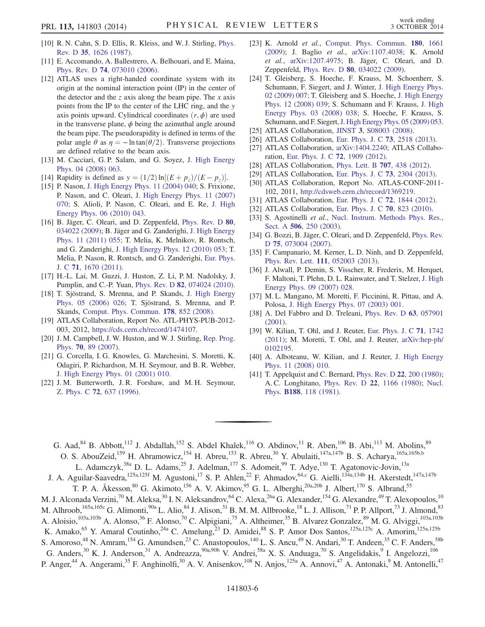- <span id="page-5-0"></span>[10] R. N. Cahn, S. D. Ellis, R. Kleiss, and W. J. Stirling, [Phys.](http://dx.doi.org/10.1103/PhysRevD.35.1626) Rev. D 35[, 1626 \(1987\).](http://dx.doi.org/10.1103/PhysRevD.35.1626)
- <span id="page-5-1"></span>[11] E. Accomando, A. Ballestrero, A. Belhouari, and E. Maina, Phys. Rev. D 74[, 073010 \(2006\)](http://dx.doi.org/10.1103/PhysRevD.74.073010).
- <span id="page-5-2"></span>[12] ATLAS uses a right-handed coordinate system with its origin at the nominal interaction point (IP) in the center of the detector and the z axis along the beam pipe. The x axis points from the IP to the center of the LHC ring, and the y axis points upward. Cylindrical coordinates  $(r, \phi)$  are used in the transverse plane,  $\phi$  being the azimuthal angle around the beam pipe. The pseudorapidity is defined in terms of the polar angle  $\theta$  as  $\eta = -\ln \tan(\theta/2)$ . Transverse projections are defined relative to the beam axis.
- <span id="page-5-3"></span>[13] M. Cacciari, G. P. Salam, and G. Soyez, [J. High Energy](http://dx.doi.org/10.1088/1126-6708/2008/04/063) [Phys. 04 \(2008\) 063.](http://dx.doi.org/10.1088/1126-6708/2008/04/063)
- <span id="page-5-5"></span><span id="page-5-4"></span>[14] Rapidity is defined as  $y = (1/2) \ln[(E + p_z)/(E - p_z)].$
- [15] P. Nason, [J. High Energy Phys. 11 \(2004\) 040;](http://dx.doi.org/10.1088/1126-6708/2004/11/040) S. Frixione, P. Nason, and C. Oleari, [J. High Energy Phys. 11 \(2007\)](http://dx.doi.org/10.1088/1126-6708/2007/11/070) [070;](http://dx.doi.org/10.1088/1126-6708/2007/11/070) S. Alioli, P. Nason, C. Oleari, and E. Re, [J. High](http://dx.doi.org/10.1007/JHEP06(2010)043) [Energy Phys. 06 \(2010\) 043.](http://dx.doi.org/10.1007/JHEP06(2010)043)
- <span id="page-5-8"></span>[16] B. Jäger, C. Oleari, and D. Zeppenfeld, [Phys. Rev. D](http://dx.doi.org/10.1103/PhysRevD.80.034022) 80, [034022 \(2009\);](http://dx.doi.org/10.1103/PhysRevD.80.034022) B. Jäger and G. Zanderighi, [J. High Energy](http://dx.doi.org/10.1007/JHEP11(2011)055) [Phys. 11 \(2011\) 055;](http://dx.doi.org/10.1007/JHEP11(2011)055) T. Melia, K. Melnikov, R. Rontsch, and G. Zanderighi, [J. High Energy Phys. 12 \(2010\) 053;](http://dx.doi.org/10.1007/JHEP12(2010)053) T. Melia, P. Nason, R. Rontsch, and G. Zanderighi, [Eur. Phys.](http://dx.doi.org/10.1140/epjc/s10052-011-1670-x) J. C 71[, 1670 \(2011\)](http://dx.doi.org/10.1140/epjc/s10052-011-1670-x).
- <span id="page-5-7"></span><span id="page-5-6"></span>[17] H.-L. Lai, M. Guzzi, J. Huston, Z. Li, P. M. Nadolsky, J. Pumplin, and C.-P. Yuan, Phys. Rev. D 82[, 074024 \(2010\).](http://dx.doi.org/10.1103/PhysRevD.82.074024)
- [18] T. Sjöstrand, S. Mrenna, and P. Skands, [J. High Energy](http://dx.doi.org/10.1088/1126-6708/2006/05/026) [Phys. 05 \(2006\) 026;](http://dx.doi.org/10.1088/1126-6708/2006/05/026) T. Sjöstrand, S. Mrenna, and P. Skands, [Comput. Phys. Commun.](http://dx.doi.org/10.1016/j.cpc.2008.01.036) 178, 852 (2008).
- <span id="page-5-9"></span>[19] ATLAS Collaboration, Report No. ATL-PHYS-PUB-2012- 003, 2012, <https://cds.cern.ch/record/1474107>.
- <span id="page-5-10"></span>[20] J. M. Campbell, J. W. Huston, and W. J. Stirling, [Rep. Prog.](http://dx.doi.org/10.1088/0034-4885/70/1/R02) Phys. 70[, 89 \(2007\)](http://dx.doi.org/10.1088/0034-4885/70/1/R02).
- [21] G. Corcella, I. G. Knowles, G. Marchesini, S. Moretti, K. Odagiri, P. Richardson, M. H. Seymour, and B. R. Webber, [J. High Energy Phys. 01 \(2001\) 010.](http://dx.doi.org/10.1088/1126-6708/2001/01/010)
- [22] J. M. Butterworth, J. R. Forshaw, and M. H. Seymour, Z. Phys. C 72[, 637 \(1996\).](http://dx.doi.org/10.1007/s002880050286)
- <span id="page-5-11"></span>[23] K. Arnold et al., [Comput. Phys. Commun.](http://dx.doi.org/10.1016/j.cpc.2009.03.006) 180, 1661 [\(2009\);](http://dx.doi.org/10.1016/j.cpc.2009.03.006) J. Baglio et al., [arXiv:1107.4038;](http://arXiv.org/abs/1107.4038) K. Arnold et al., [arXiv:1207.4975;](http://arXiv.org/abs/1207.4975) B. Jäger, C. Oleari, and D. Zeppenfeld, Phys. Rev. D 80[, 034022 \(2009\)](http://dx.doi.org/10.1103/PhysRevD.80.034022).
- <span id="page-5-12"></span>[24] T. Gleisberg, S. Hoeche, F. Krauss, M. Schoenherr, S. Schumann, F. Siegert, and J. Winter, [J. High Energy Phys.](http://dx.doi.org/10.1088/1126-6708/2009/02/007) [02 \(2009\) 007;](http://dx.doi.org/10.1088/1126-6708/2009/02/007) T. Gleisberg and S. Hoeche, [J. High Energy](http://dx.doi.org/10.1088/1126-6708/2008/12/039) [Phys. 12 \(2008\) 039;](http://dx.doi.org/10.1088/1126-6708/2008/12/039) S. Schumann and F. Krauss, [J. High](http://dx.doi.org/10.1088/1126-6708/2008/03/038) [Energy Phys. 03 \(2008\) 038;](http://dx.doi.org/10.1088/1126-6708/2008/03/038) S. Hoeche, F. Krauss, S. Schumann, and F. Siegert, [J. High Energy Phys. 05 \(2009\) 053.](http://dx.doi.org/10.1088/1126-6708/2009/05/053)
- <span id="page-5-13"></span>[25] ATLAS Collaboration, JINST 3[, S08003 \(2008\).](http://dx.doi.org/10.1088/1748-0221/3/08/S08003)
- <span id="page-5-14"></span>[26] ATLAS Collaboration, [Eur. Phys. J. C](http://dx.doi.org/10.1140/epjc/s10052-013-2518-3) 73, 2518 (2013).
- <span id="page-5-15"></span>[27] ATLAS Collaboration, [arXiv:1404.2240;](http://arXiv.org/abs/1404.2240) ATLAS Collaboration, [Eur. Phys. J. C](http://dx.doi.org/10.1140/epjc/s10052-012-1909-1) 72, 1909 (2012).
- <span id="page-5-16"></span>[28] ATLAS Collaboration, [Phys. Lett. B](http://dx.doi.org/10.1016/j.physletb.2011.12.054) **707**, 438 (2012).
- <span id="page-5-17"></span>[29] ATLAS Collaboration, [Eur. Phys. J. C](http://dx.doi.org/10.1140/epjc/s10052-013-2304-2) 73, 2304 (2013).
- <span id="page-5-18"></span>[30] ATLAS Collaboration, Report No. ATLAS-CONF-2011- 102, 2011, <http://cdsweb.cern.ch/record/1369219>.
- <span id="page-5-19"></span>[31] ATLAS Collaboration, [Eur. Phys. J. C](http://dx.doi.org/10.1140/epjc/s10052-011-1844-6) 72, 1844 (2012).
- <span id="page-5-20"></span>[32] ATLAS Collaboration, [Eur. Phys. J. C](http://dx.doi.org/10.1140/epjc/s10052-010-1429-9) 70, 823 (2010).
- <span id="page-5-21"></span>[33] S. Agostinelli et al., [Nucl. Instrum. Methods Phys. Res.,](http://dx.doi.org/10.1016/S0168-9002(03)01368-8) Sect. A 506[, 250 \(2003\)](http://dx.doi.org/10.1016/S0168-9002(03)01368-8).
- <span id="page-5-22"></span>[34] G. Bozzi, B. Jäger, C. Oleari, and D. Zeppenfeld, [Phys. Rev.](http://dx.doi.org/10.1103/PhysRevD.75.073004) D 75[, 073004 \(2007\)](http://dx.doi.org/10.1103/PhysRevD.75.073004).
- [35] F. Campanario, M. Kerner, L. D. Ninh, and D. Zeppenfeld, Phys. Rev. Lett. 111[, 052003 \(2013\).](http://dx.doi.org/10.1103/PhysRevLett.111.052003)
- <span id="page-5-23"></span>[36] J. Alwall, P. Demin, S. Visscher, R. Frederix, M. Herquet, F. Maltoni, T. Plehn, D. L. Rainwater, and T. Stelzer, [J. High](http://dx.doi.org/10.1088/1126-6708/2007/09/028) [Energy Phys. 09 \(2007\) 028.](http://dx.doi.org/10.1088/1126-6708/2007/09/028)
- <span id="page-5-24"></span>[37] M. L. Mangano, M. Moretti, F. Piccinini, R. Pittau, and A. Polosa, [J. High Energy Phys. 07 \(2003\) 001.](http://dx.doi.org/10.1088/1126-6708/2003/07/001)
- <span id="page-5-25"></span>[38] A. Del Fabbro and D. Treleani, [Phys. Rev. D](http://dx.doi.org/10.1103/PhysRevD.63.057901) 63, 057901 [\(2001\).](http://dx.doi.org/10.1103/PhysRevD.63.057901)
- <span id="page-5-26"></span>[39] W. Kilian, T. Ohl, and J. Reuter, [Eur. Phys. J. C](http://dx.doi.org/10.1140/epjc/s10052-011-1742-y) 71, 1742 [\(2011\);](http://dx.doi.org/10.1140/epjc/s10052-011-1742-y) M. Moretti, T. Ohl, and J. Reuter, [arXiv:hep-ph/](http://arXiv.org/abs/hep-ph/0102195) [0102195.](http://arXiv.org/abs/hep-ph/0102195)
- <span id="page-5-27"></span>[40] A. Alboteanu, W. Kilian, and J. Reuter, [J. High Energy](http://dx.doi.org/10.1088/1126-6708/2008/11/010) [Phys. 11 \(2008\) 010.](http://dx.doi.org/10.1088/1126-6708/2008/11/010)
- [41] T. Appelquist and C. Bernard, [Phys. Rev. D](http://dx.doi.org/10.1103/PhysRevD.22.200) 22, 200 (1980); A. C. Longhitano, Phys. Rev. D 22[, 1166 \(1980\)](http://dx.doi.org/10.1103/PhysRevD.22.1166); [Nucl.](http://dx.doi.org/10.1016/0550-3213(81)90109-7) Phys. B188[, 118 \(1981\).](http://dx.doi.org/10.1016/0550-3213(81)90109-7)

<span id="page-5-28"></span>G. Aad,  $84$  B. Abbott,  $112$  J. Abdallah,  $152$  S. Abdel Khalek,  $116$  O. Abdinov,  $11$  R. Aben,  $106$  B. Abi,  $113$  M. Abolins,  $89$ O. S. AbouZeid,<sup>159</sup> H. Abramowicz,<sup>154</sup> H. Abreu,<sup>153</sup> R. Abreu,<sup>30</sup> Y. Abulaiti,<sup>147a,147b</sup> B. S. Acharya,<sup>165a,165[b,b](#page-17-0)</sup>

<span id="page-5-29"></span>L. Adamczyk,<sup>38a</sup> D. L. Adams,<sup>25</sup> J. Adelman,<sup>177</sup> S. Adomeit,<sup>99</sup> T. Adye,<sup>130</sup> T. Agatonovic-Jovin,<sup>13a</sup> J. A. Aguilar-Saavedra,<sup>125a,125f</sup> M. Agustoni,<sup>17</sup> S. P. Ahlen,<sup>22</sup> F. Ahmadov,<sup>64[,c](#page-17-1)</sup> G. Aielli,<sup>134a,134b</sup> H. Akerstedt,<sup>147a,147b</sup>

T. P. A. Åkesson,<sup>80</sup> G. Akimoto,<sup>156</sup> A. V. Akimov,<sup>95</sup> G. L. Alberghi,<sup>20a,20b</sup> J. Albert,<sup>170</sup> S. Albrand,<sup>55</sup>

M. J. Alconada Verzini,<sup>70</sup> M. Aleksa,<sup>30</sup> I. N. Aleksandrov,<sup>64</sup> C. Alexa,<sup>26a</sup> G. Alexander,<sup>154</sup> G. Alexandre,<sup>49</sup> T. Alexopoulos,<sup>10</sup>

M. Alhroob,<sup>165a,165c</sup> G. Alimonti,<sup>90a</sup> L. Alio,<sup>84</sup> J. Alison,<sup>31</sup> B. M. M. Allbrooke,<sup>18</sup> L. J. Allison,<sup>71</sup> P. P. Allport,<sup>73</sup> J. Almond,<sup>83</sup>

A. Aloisio,<sup>103a,103b</sup> A. Alonso,<sup>36</sup> F. Alonso,<sup>70</sup> C. Alpigiani,<sup>75</sup> A. Altheimer,<sup>35</sup> B. Alvarez Gonzalez,<sup>89</sup> M. G. Alviggi,<sup>103a,103b</sup>

K. Amako,<sup>65</sup> Y. Amaral Coutinho,<sup>24a</sup> C. Amelung,<sup>23</sup> D. Amidei,<sup>88</sup> S. P. Amor Dos Santos,<sup>125a,125c</sup> A. Amorim,<sup>125a,125b</sup>

S. Amoroso,<sup>48</sup> N. Amram,<sup>154</sup> G. Amundsen,<sup>23</sup> C. Anastopoulos,<sup>140</sup> L. S. Ancu,<sup>49</sup> N. Andari,<sup>30</sup> T. Andeen,<sup>35</sup> C. F. Anders,<sup>58b</sup>

G. Anders, $30$  K. J. Anderson,  $31$  A. Andreazza,  $90a,90b$  V. Andrei,  $58a$  X. S. Anduaga,  $70$  S. Angelidakis,  $9$  I. Angelozzi,  $106$ 

P. Anger,<sup>44</sup> A. Angerami,<sup>35</sup> F. Anghinolfi,<sup>30</sup> A. V. Anisenkov,<sup>108</sup> N. Anjos,<sup>125a</sup> A. Annovi,<sup>47</sup> A. Antonaki,<sup>9</sup> M. Antonelli,<sup>47</sup>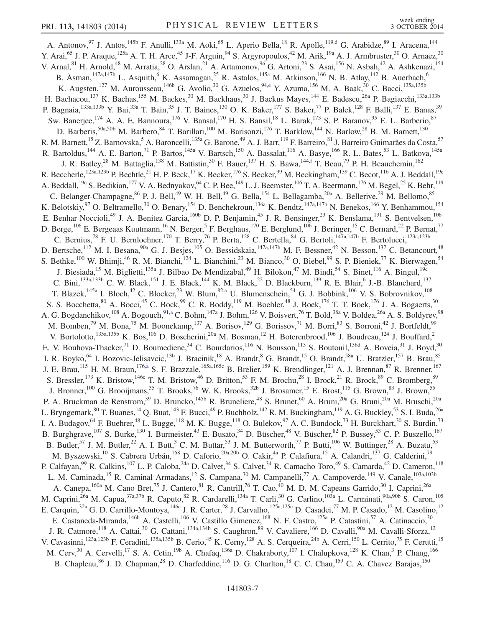<span id="page-6-3"></span><span id="page-6-2"></span><span id="page-6-1"></span><span id="page-6-0"></span>A. Antonov, <sup>97</sup> J. Antos, <sup>145b</sup> F. Anulli, <sup>133a</sup> M. Aoki, <sup>65</sup> L. Aperio Bella, <sup>18</sup> R. Apolle, <sup>119[,d](#page-17-2)</sup> G. Arabidze, <sup>89</sup> I. Aracena, <sup>144</sup> Y. Arai,<sup>65</sup> J. P. Araque,<sup>125a</sup> A. T. H. Arce,<sup>45</sup> J-F. Arguin,<sup>94</sup> S. Argyropoulos,<sup>42</sup> M. Arik,<sup>19a</sup> A. J. Armbruster,<sup>30</sup> O. Arnaez,<sup>30</sup> V. Arnal, <sup>81</sup> H. Arnold, <sup>48</sup> M. Arratia, <sup>28</sup> O. Arslan, <sup>21</sup> A. Artamonov, <sup>96</sup> G. Artoni, <sup>23</sup> S. Asai, <sup>156</sup> N. Asbah, <sup>42</sup> A. Ashkenazi, <sup>154</sup> B. Åsman,<sup>147a,147b</sup> L. Asquith,<sup>6</sup> K. Assamagan,<sup>25</sup> R. Astalos,<sup>145a</sup> M. Atkinson,<sup>166</sup> N. B. Atlay,<sup>142</sup> B. Auerbach,<sup>6</sup> K. Augsten,<sup>127</sup> M. Aurousseau,<sup>146b</sup> G. Avolio,<sup>30</sup> G. Azuelos,<sup>9[4,e](#page-17-3)</sup> Y. Azuma,<sup>156</sup> M. A. Baak,<sup>30</sup> C. Bacci,<sup>135a,135b</sup> H. Bachacou,<sup>137</sup> K. Bachas,<sup>155</sup> M. Backes,<sup>30</sup> M. Backhaus,<sup>30</sup> J. Backus Mayes,<sup>144</sup> E. Badescu,<sup>26a</sup> P. Bagiacchi,<sup>133a,133b</sup> P. Bagnaia,<sup>133a,133b</sup> Y. Bai,<sup>33a</sup> T. Bain,<sup>35</sup> J. T. Baines,<sup>130</sup> O. K. Baker,<sup>177</sup> S. Baker,<sup>77</sup> P. Balek,<sup>128</sup> F. Balli,<sup>137</sup> E. Banas,<sup>39</sup> Sw. Banerjee,<sup>174</sup> A. A. E. Bannoura,<sup>176</sup> V. Bansal,<sup>170</sup> H. S. Bansil,<sup>18</sup> L. Barak,<sup>173</sup> S. P. Baranov,<sup>95</sup> E. L. Barberio,<sup>87</sup> D. Barberis,  $^{50a,50b}$  M. Barbero,  $^{84}$  T. Barillari,  $^{100}$  M. Barisonzi,  $^{176}$  T. Barklow,  $^{144}$  N. Barlow,  $^{28}$  B. M. Barnett,  $^{130}$ R. M. Barnett, <sup>15</sup> Z. Barnovska, 5 A. Baroncelli, <sup>135a</sup> G. Barone, <sup>49</sup> A. J. Barr, <sup>119</sup> F. Barreiro, <sup>81</sup> J. Barreiro Guimarães da Costa, 57 R. Bartoldus,<sup>144</sup> A. E. Barton,<sup>71</sup> P. Bartos,<sup>145a</sup> V. Bartsch,<sup>150</sup> A. Bassalat,<sup>116</sup> A. Basye,<sup>166</sup> R. L. Bates,<sup>53</sup> L. Batkova,<sup>145a</sup> J. R. Batley,<sup>28</sup> M. Battaglia,<sup>138</sup> M. Battistin,<sup>30</sup> F. Bauer,<sup>137</sup> H. S. Bawa,<sup>14[4,f](#page-17-4)</sup> T. Beau,<sup>79</sup> P. H. Beauchemin,<sup>162</sup> R. Beccherle,<sup>123a,123b</sup> P. Bechtle,<sup>21</sup> H. P. Beck,<sup>17</sup> K. Becker,<sup>176</sup> S. Becker,<sup>99</sup> M. Beckingham,<sup>139</sup> C. Becot,<sup>116</sup> A. J. Beddall,<sup>19c</sup> A. Beddall, <sup>19c</sup> S. Bedikian, <sup>177</sup> V. A. Bednyakov, <sup>64</sup> C. P. Bee, <sup>149</sup> L. J. Beemster, <sup>106</sup> T. A. Beermann, <sup>176</sup> M. Begel, <sup>25</sup> K. Behr, <sup>119</sup> C. Belanger-Champagne,  $86$  P. J. Bell,  $49$  W. H. Bell,  $49$  G. Bella,  $^{154}$  L. Bellagamba,  $^{20a}$  A. Bellerive,  $^{29}$  M. Bellomo,  $85$ K. Belotskiy,  $97$  O. Beltramello,  $30$  O. Benary,  $154$  D. Benchekroun,  $136a$  K. Bendtz,  $147a,147b$  N. Benekos,  $166$  Y. Benhammou,  $154$ E. Benhar Noccioli,<sup>49</sup> J. A. Benitez Garcia,<sup>160b</sup> D. P. Benjamin,<sup>45</sup> J. R. Bensinger,<sup>23</sup> K. Benslama,<sup>131</sup> S. Bentvelsen,<sup>106</sup> D. Berge,<sup>106</sup> E. Bergeaas Kuutmann,<sup>16</sup> N. Berger,<sup>5</sup> F. Berghaus,<sup>170</sup> E. Berglund,<sup>106</sup> J. Beringer,<sup>15</sup> C. Bernard,<sup>22</sup> P. Bernat,<sup>77</sup> C. Bernius,<sup>78</sup> F. U. Bernlochner,<sup>170</sup> T. Berry,<sup>76</sup> P. Berta,<sup>128</sup> C. Bertella,<sup>84</sup> G. Bertoli,<sup>147a,147b</sup> F. Bertolucci,<sup>123a,123b</sup> D. Bertsche,<sup>112</sup> M. I. Besana,<sup>90a</sup> G. J. Besjes,<sup>105</sup> O. Bessidskaia,<sup>147a,147b</sup> M. F. Bessner,<sup>42</sup> N. Besson,<sup>137</sup> C. Betancourt,<sup>48</sup> S. Bethke,<sup>100</sup> W. Bhimji,<sup>46</sup> R. M. Bianchi,<sup>124</sup> L. Bianchini,<sup>23</sup> M. Bianco,<sup>30</sup> O. Biebel,<sup>99</sup> S. P. Bieniek,<sup>77</sup> K. Bierwagen,<sup>54</sup> J. Biesiada,<sup>15</sup> M. Biglietti,<sup>135a</sup> J. Bilbao De Mendizabal,<sup>49</sup> H. Bilokon,<sup>47</sup> M. Bindi,<sup>54</sup> S. Binet,<sup>116</sup> A. Bingul,<sup>19c</sup> C. Bini,<sup>133a,133b</sup> C. W. Black,<sup>151</sup> J. E. Black,<sup>144</sup> K. M. Black,<sup>22</sup> D. Blackburn,<sup>139</sup> R. E. Blair,<sup>6</sup> J.-B. Blanchard,<sup>137</sup> T. Blazek,<sup>145a</sup> I. Bloch,<sup>42</sup> C. Blocker,<sup>23</sup> W. Blum,<sup>82[,a](#page-17-5)</sup> U. Blumenschein,<sup>54</sup> G. J. Bobbink,<sup>106</sup> V. S. Bobrovnikov,<sup>108</sup> S. S. Bocchetta,  $80$  A. Bocci,  $45$  C. Bock,  $99$  C. R. Boddy,  $^{119}$  M. Boehler,  $48$  J. Boek,  $^{176}$  T. T. Boek,  $^{176}$  J. A. Bogaerts,  $30$ A. G. Bogdanchikov,<sup>108</sup> A. Bogouch,<sup>9[1,a](#page-17-5)</sup> C. Bohm,<sup>147a</sup> J. Bohm,<sup>126</sup> V. Boisvert,<sup>76</sup> T. Bold,<sup>38a</sup> V. Boldea,<sup>26a</sup> A. S. Boldyrev,<sup>98</sup> M. Bomben,<sup>79</sup> M. Bona,<sup>75</sup> M. Boonekamp,<sup>137</sup> A. Borisov,<sup>129</sup> G. Borissov,<sup>71</sup> M. Borri,<sup>83</sup> S. Borroni,<sup>42</sup> J. Bortfeldt,<sup>99</sup> V. Bortolotto,<sup>135a,135b</sup> K. Bos,<sup>106</sup> D. Boscherini,<sup>20a</sup> M. Bosman,<sup>12</sup> H. Boterenbrood,<sup>106</sup> J. Boudreau,<sup>124</sup> J. Bouffard,<sup>2</sup> E. V. Bouhova-Thacker,  $^{71}$  D. Boumediene,  $^{34}$  C. Bourdarios,  $^{116}$  N. Bousson,  $^{113}$  S. Boutouil,  $^{136d}$  A. Boveia,  $^{31}$  J. Boyd,  $^{30}$ I. R. Boyko,<sup>64</sup> I. Bozovic-Jelisavcic,<sup>13b</sup> J. Bracinik,<sup>18</sup> A. Brandt,<sup>8</sup> G. Brandt,<sup>15</sup> O. Brandt,<sup>58a</sup> U. Bratzler,<sup>157</sup> B. Brau,<sup>85</sup> J. E. Brau,<sup>115</sup> H. M. Braun,<sup>176[,a](#page-17-5)</sup> S. F. Brazzale,<sup>165a,165c</sup> B. Brelier,<sup>159</sup> K. Brendlinger,<sup>121</sup> A. J. Brennan,<sup>87</sup> R. Brenner,<sup>167</sup> S. Bressler,<sup>173</sup> K. Bristow,<sup>146c</sup> T. M. Bristow,<sup>46</sup> D. Britton,<sup>53</sup> F. M. Brochu,<sup>28</sup> I. Brock,<sup>21</sup> R. Brock,<sup>89</sup> C. Bromberg,<sup>89</sup> J. Bronner,<sup>100</sup> G. Brooijmans,<sup>35</sup> T. Brooks,<sup>76</sup> W. K. Brooks,<sup>32b</sup> J. Brosamer,<sup>15</sup> E. Brost,<sup>115</sup> G. Brown,<sup>83</sup> J. Brown,<sup>55</sup> P. A. Bruckman de Renstrom,<sup>39</sup> D. Bruncko,<sup>145b</sup> R. Bruneliere,<sup>48</sup> S. Brunet,<sup>60</sup> A. Bruni,<sup>20a</sup> G. Bruni,<sup>20a</sup> M. Bruschi,<sup>20a</sup> L. Bryngemark,<sup>80</sup> T. Buanes,<sup>14</sup> Q. Buat,<sup>143</sup> F. Bucci,<sup>49</sup> P. Buchholz,<sup>142</sup> R. M. Buckingham,<sup>119</sup> A. G. Buckley,<sup>53</sup> S. I. Buda,<sup>26a</sup> I. A. Budagov,  $^{64}$  F. Buehrer,  $^{48}$  L. Bugge,  $^{118}$  M. K. Bugge,  $^{118}$  O. Bulekov,  $^{97}$  A. C. Bundock,  $^{73}$  H. Burckhart,  $^{30}$  S. Burdin,  $^{73}$ B. Burghgrave,<sup>107</sup> S. Burke,<sup>130</sup> I. Burmeister,<sup>43</sup> E. Busato,<sup>34</sup> D. Büscher,<sup>48</sup> V. Büscher,<sup>82</sup> P. Bussey,<sup>53</sup> C. P. Buszello,<sup>167</sup> B. Butler,<sup>57</sup> J. M. Butler,<sup>22</sup> A. I. Butt,<sup>3</sup> C. M. Buttar,<sup>53</sup> J. M. Butterworth,<sup>77</sup> P. Butti,<sup>106</sup> W. Buttinger,<sup>28</sup> A. Buzatu,<sup>53</sup> M. Byszewski,<sup>10</sup> S. Cabrera Urbán,<sup>168</sup> D. Caforio,<sup>20a,20b</sup> O. Cakir,<sup>4a</sup> P. Calafiura,<sup>15</sup> A. Calandri,<sup>137</sup> G. Calderini,<sup>79</sup> P. Calfayan,<sup>99</sup> R. Calkins,<sup>107</sup> L. P. Caloba,<sup>24a</sup> D. Calvet,<sup>34</sup> S. Calvet,<sup>34</sup> R. Camacho Toro,<sup>49</sup> S. Camarda,<sup>42</sup> D. Cameron,<sup>118</sup> L. M. Caminada,<sup>15</sup> R. Caminal Armadans,<sup>12</sup> S. Campana,<sup>30</sup> M. Campanelli,<sup>77</sup> A. Campoverde,<sup>149</sup> V. Canale,<sup>103a,103b</sup> A. Canepa, <sup>160a</sup> M. Cano Bret,<sup>75</sup> J. Cantero, <sup>81</sup> R. Cantrill, <sup>76</sup> T. Cao, <sup>40</sup> M. D. M. Capeans Garrido, <sup>30</sup> I. Caprini, <sup>26a</sup> M. Caprini,<sup>26a</sup> M. Capua,<sup>37a,37b</sup> R. Caputo,<sup>82</sup> R. Cardarelli,<sup>134a</sup> T. Carli,<sup>30</sup> G. Carlino,<sup>103a</sup> L. Carminati,<sup>90a,90b</sup> S. Caron,<sup>105</sup> E. Carquin,<sup>32a</sup> G. D. Carrillo-Montoya,<sup>146c</sup> J. R. Carter,<sup>28</sup> J. Carvalho,<sup>125a,125c</sup> D. Casadei,<sup>77</sup> M. P. Casado,<sup>12</sup> M. Casolino,<sup>12</sup> E. Castaneda-Miranda,<sup>146b</sup> A. Castelli,<sup>106</sup> V. Castillo Gimenez,<sup>168</sup> N. F. Castro,<sup>125a</sup> P. Catastini,<sup>57</sup> A. Catinaccio,<sup>30</sup> J. R. Catmore,<sup>118</sup> A. Cattai,<sup>30</sup> G. Cattani,<sup>134a,134b</sup> S. Caughron,<sup>89</sup> V. Cavaliere,<sup>166</sup> D. Cavalli,<sup>90a</sup> M. Cavalli-Sforza,<sup>12</sup> V. Cavasinni,<sup>123a,123b</sup> F. Ceradini,<sup>135a,135b</sup> B. Cerio,<sup>45</sup> K. Cerny,<sup>128</sup> A. S. Cerqueira,<sup>24b</sup> A. Cerri,<sup>150</sup> L. Cerrito,<sup>75</sup> F. Cerutti,<sup>15</sup> M. Cerv,<sup>30</sup> A. Cervelli,<sup>17</sup> S. A. Cetin,<sup>19b</sup> A. Chafaq,<sup>136a</sup> D. Chakraborty,<sup>107</sup> I. Chalupkova,<sup>128</sup> K. Chan,<sup>3</sup> P. Chang,<sup>166</sup> B. Chapleau,<sup>86</sup> J. D. Chapman,<sup>28</sup> D. Charfeddine,<sup>116</sup> D. G. Charlton,<sup>18</sup> C. C. Chau,<sup>159</sup> C. A. Chavez Barajas,<sup>150</sup>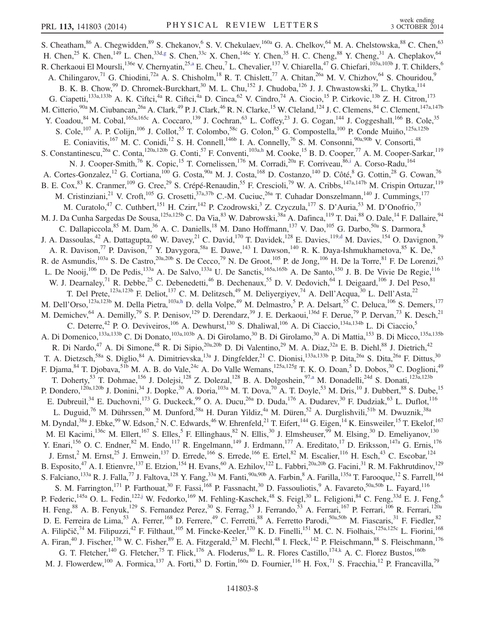<span id="page-7-4"></span><span id="page-7-3"></span><span id="page-7-2"></span><span id="page-7-1"></span><span id="page-7-0"></span>S. Cheatham,<sup>86</sup> A. Chegwidden,<sup>89</sup> S. Chekanov,<sup>6</sup> S. V. Chekulaev, <sup>160a</sup> G. A. Chelkov, <sup>64</sup> M. A. Chelstowska, <sup>88</sup> C. Chen, <sup>63</sup> H. Chen,<sup>25</sup> K. Chen,<sup>149</sup> L. Chen,<sup>33d[,g](#page-17-6)</sup> S. Chen,<sup>33c</sup> X. Chen,<sup>146c</sup> Y. Chen,<sup>35</sup> H. C. Cheng,<sup>88</sup> Y. Cheng,<sup>31</sup> A. Cheplakov,<sup>64</sup> R. Cherkaoui El Moursli,<sup>136e</sup> V. Chernyatin,<sup>2[5,a](#page-17-5)</sup> E. Cheu,<sup>7</sup> L. Chevalier,<sup>137</sup> V. Chiarella,<sup>47</sup> G. Chiefari,<sup>103a,103b</sup> J. T. Childers,<sup>6</sup> A. Chilingarov,<sup>71</sup> G. Chiodini,<sup>72a</sup> A. S. Chisholm,<sup>18</sup> R. T. Chislett,<sup>77</sup> A. Chitan,<sup>26a</sup> M. V. Chizhov,<sup>64</sup> S. Chouridou,<sup>9</sup> B. K. B. Chow,<sup>99</sup> D. Chromek-Burckhart,<sup>30</sup> M. L. Chu,<sup>152</sup> J. Chudoba,<sup>126</sup> J. J. Chwastowski,<sup>39</sup> L. Chytka,<sup>114</sup> G. Ciapetti,<sup>133a,133b</sup> A. K. Ciftci,<sup>4a</sup> R. Ciftci,<sup>4a</sup> D. Cinca,<sup>62</sup> V. Cindro,<sup>74</sup> A. Ciocio,<sup>15</sup> P. Cirkovic,<sup>13b</sup> Z. H. Citron,<sup>173</sup> M. Citterio,  $90a$  M. Ciubancan,  $26a$  A. Clark,  $49$  P. J. Clark,  $46$  R. N. Clarke,  $15$  W. Cleland,  $124$  J. C. Clemens,  $84$  C. Clement,  $147a,147b$ Y. Coadou,<sup>84</sup> M. Cobal,<sup>165a,165c</sup> A. Coccaro,<sup>139</sup> J. Cochran,<sup>63</sup> L. Coffey,<sup>23</sup> J. G. Cogan,<sup>144</sup> J. Coggeshall,<sup>166</sup> B. Cole,<sup>35</sup> S. Cole,<sup>107</sup> A. P. Colijn,<sup>106</sup> J. Collot,<sup>55</sup> T. Colombo,<sup>58c</sup> G. Colon,<sup>85</sup> G. Compostella,<sup>100</sup> P. Conde Muiño,<sup>125a,125b</sup> E. Coniavitis, <sup>167</sup> M. C. Conidi, <sup>12</sup> S. H. Connell, <sup>146b</sup> I. A. Connelly, <sup>76</sup> S. M. Consonni, <sup>90a, 90b</sup> V. Consorti, <sup>48</sup> S. Constantinescu,<sup>26a</sup> C. Conta,<sup>120a,120b</sup> G. Conti,<sup>57</sup> F. Conventi,<sup>103a[,h](#page-17-7)</sup> M. Cooke,<sup>15</sup> B. D. Cooper,<sup>77</sup> A. M. Cooper-Sarkar,<sup>119</sup> N. J. Cooper-Smith,<sup>76</sup> K. Copic,<sup>15</sup> T. Cornelissen,<sup>176</sup> M. Corradi,<sup>20a</sup> F. Corriveau,<sup>86[,i](#page-17-8)</sup> A. Corso-Radu,<sup>164</sup> A. Cortes-Gonzalez,<sup>12</sup> G. Cortiana,<sup>100</sup> G. Costa,<sup>90a</sup> M. J. Costa,<sup>168</sup> D. Costanzo,<sup>140</sup> D. Côté,<sup>8</sup> G. Cottin,<sup>28</sup> G. Cowan,<sup>76</sup> B. E. Cox, <sup>83</sup> K. Cranmer, <sup>109</sup> G. Cree, <sup>29</sup> S. Crépé-Renaudin, <sup>55</sup> F. Crescioli, <sup>79</sup> W. A. Cribbs, <sup>147a, 147b</sup> M. Crispin Ortuzar, <sup>119</sup> M. Cristinziani,<sup>21</sup> V. Croft,<sup>105</sup> G. Crosetti,<sup>37a,37b</sup> C.-M. Cuciuc,<sup>26a</sup> T. Cuhadar Donszelmann,<sup>140</sup> J. Cummings,<sup>177</sup> M. Curatolo,<sup>47</sup> C. Cuthbert,<sup>151</sup> H. Czirr,<sup>142</sup> P. Czodrowski,<sup>3</sup> Z. Czyczula,<sup>177</sup> S. D'Auria,<sup>53</sup> M. D'Onofrio,<sup>73</sup> M. J. Da Cunha Sargedas De Sousa, <sup>125a,125b</sup> C. Da Via,  $^{83}$  W. Dabrowski,  $^{38a}$  A. Dafinca,  $^{119}$  T. Dai,  $^{88}$  O. Dale,  $^{14}$  F. Dallaire,  $^{94}$ C. Dallapiccola, <sup>85</sup> M. Dam, <sup>36</sup> A. C. Daniells, <sup>18</sup> M. Dano Hoffmann, <sup>137</sup> V. Dao, <sup>105</sup> G. Darbo, <sup>50a</sup> S. Darmora, <sup>8</sup> J. A. Dassoulas,<sup>42</sup> A. Dattagupta,<sup>60</sup> W. Davey,<sup>21</sup> C. David,<sup>170</sup> T. Davidek,<sup>128</sup> E. Davies,<sup>11[9,d](#page-17-2)</sup> M. Davies,<sup>154</sup> O. Davignon,<sup>79</sup> A. R. Davison,<sup>77</sup> P. Davison,<sup>77</sup> Y. Davygora,<sup>58a</sup> E. Dawe,<sup>143</sup> I. Dawson,<sup>140</sup> R. K. Daya-Ishmukhametova,<sup>85</sup> K. De,<sup>8</sup> R. de Asmundis,  $^{103a}$  S. De Castro,  $^{20a,20b}$  S. De Cecco,  $^{79}$  N. De Groot,  $^{105}$  P. de Jong,  $^{106}$  H. De la Torre,  $^{81}$  F. De Lorenzi,  $^{63}$ L. De Nooij,<sup>106</sup> D. De Pedis,<sup>133a</sup> A. De Salvo,<sup>133a</sup> U. De Sanctis,<sup>165a,165b</sup> A. De Santo,<sup>150</sup> J. B. De Vivie De Regie,<sup>116</sup> W. J. Dearnaley,<sup>71</sup> R. Debbe,<sup>25</sup> C. Debenedetti,<sup>46</sup> B. Dechenaux,<sup>55</sup> D. V. Dedovich,<sup>64</sup> I. Deigaard,<sup>106</sup> J. Del Peso,<sup>81</sup> T. Del Prete,<sup>123a,123b</sup> F. Deliot,<sup>137</sup> C. M. Delitzsch,<sup>49</sup> M. Deliyergiyev,<sup>74</sup> A. Dell'Acqua,<sup>30</sup> L. Dell'Asta,<sup>22</sup> M. Dell'Orso,<sup>123a,123b</sup> M. Della Pietra,<sup>103a[,h](#page-17-7)</sup> D. della Volpe,<sup>49</sup> M. Delmastro,<sup>5</sup> P. A. Delsart,<sup>55</sup> C. Deluca,<sup>106</sup> S. Demers,<sup>177</sup> M. Demichev,<sup>64</sup> A. Demilly,<sup>79</sup> S. P. Denisov,<sup>129</sup> D. Derendarz,<sup>39</sup> J. E. Derkaoui,<sup>136d</sup> F. Derue,<sup>79</sup> P. Dervan,<sup>73</sup> K. Desch,<sup>21</sup> C. Deterre,<sup>42</sup> P. O. Deviveiros,<sup>106</sup> A. Dewhurst,<sup>130</sup> S. Dhaliwal,<sup>106</sup> A. Di Ciaccio,<sup>134a,134b</sup> L. Di Ciaccio,<sup>5</sup> A. Di Domenico,<sup>133a,133b</sup> C. Di Donato,<sup>103a,103b</sup> A. Di Girolamo,<sup>30</sup> B. Di Girolamo,<sup>30</sup> A. Di Mattia,<sup>153</sup> B. Di Micco,<sup>135a,135b</sup> R. Di Nardo,<sup>47</sup> A. Di Simone,<sup>48</sup> R. Di Sipio,<sup>20a,20b</sup> D. Di Valentino,<sup>29</sup> M. A. Diaz,<sup>32a</sup> E. B. Diehl,<sup>88</sup> J. Dietrich,<sup>42</sup> T. A. Dietzsch,<sup>58a</sup> S. Diglio,<sup>84</sup> A. Dimitrievska,<sup>13a</sup> J. Dingfelder,<sup>21</sup> C. Dionisi,<sup>133a,133b</sup> P. Dita,<sup>26a</sup> S. Dita,<sup>26a</sup> F. Dittus,<sup>30</sup> F. Djama,  $84$  T. Djobava,  $51b$  M. A. B. do Vale,  $24c$  A. Do Valle Wemans,  $125a,125g$  T. K. O. Doan,  $5$  D. Dobos,  $30$  C. Doglioni,  $49$ T. Doherty,<sup>53</sup> T. Dohmae,<sup>156</sup> J. Dolejsi,<sup>128</sup> Z. Dolezal,<sup>128</sup> B. A. Dolgoshein,<sup>97[,a](#page-17-5)</sup> M. Donadelli,<sup>24d</sup> S. Donati,<sup>123a,123b</sup> P. Dondero,  $^{120a,120b}$  J. Donini,  $^{34}$  J. Dopke,  $^{30}$  A. Doria,  $^{103a}$  M. T. Dova,  $^{70}$  A. T. Doyle,  $^{53}$  M. Dris,  $^{10}$  J. Dubbert,  $^{88}$  S. Dube,  $^{15}$ E. Dubreuil,<sup>34</sup> E. Duchovni,<sup>173</sup> G. Duckeck,<sup>99</sup> O. A. Ducu,<sup>26a</sup> D. Duda,<sup>176</sup> A. Dudarev,<sup>30</sup> F. Dudziak,<sup>63</sup> L. Duflot,<sup>116</sup> L. Duguid,<sup>76</sup> M. Dührssen,<sup>30</sup> M. Dunford,<sup>58a</sup> H. Duran Yildiz,<sup>4a</sup> M. Düren,<sup>52</sup> A. Durglishvili,<sup>51b</sup> M. Dwuznik,<sup>38a</sup> M. Dyndal, $^{38a}$  J. Ebke, $^{99}$  W. Edson, $^2$  N. C. Edwards, $^{46}$  W. Ehrenfeld, $^{21}$  T. Eifert, $^{144}$  G. Eigen, $^{14}$  K. Einsweiler, $^{15}$  T. Ekelof, $^{167}$ M. El Kacimi,<sup>136c</sup> M. Ellert,<sup>167</sup> S. Elles,<sup>5</sup> F. Ellinghaus,<sup>82</sup> N. Ellis,<sup>30</sup> J. Elmsheuser,<sup>99</sup> M. Elsing,<sup>30</sup> D. Emeliyanov,<sup>130</sup> Y. Enari,<sup>156</sup> O. C. Endner,<sup>82</sup> M. Endo,<sup>117</sup> R. Engelmann,<sup>149</sup> J. Erdmann,<sup>177</sup> A. Ereditato,<sup>17</sup> D. Eriksson,<sup>147a</sup> G. Ernis,<sup>176</sup> J. Ernst,<sup>2</sup> M. Ernst,<sup>25</sup> J. Ernwein,<sup>137</sup> D. Errede,<sup>166</sup> S. Errede,<sup>166</sup> E. Ertel,<sup>82</sup> M. Escalier,<sup>116</sup> H. Esch,<sup>43</sup> C. Escobar,<sup>124</sup> B. Esposito,<sup>47</sup> A. I. Etienvre,<sup>137</sup> E. Etzion,<sup>154</sup> H. Evans,<sup>60</sup> A. Ezhilov,<sup>122</sup> L. Fabbri,<sup>20a,20b</sup> G. Facini,<sup>31</sup> R. M. Fakhrutdinov,<sup>129</sup> S. Falciano,<sup>133a</sup> R. J. Falla,<sup>77</sup> J. Faltova,<sup>128</sup> Y. Fang,<sup>33a</sup> M. Fanti,<sup>90a,90b</sup> A. Farbin,<sup>8</sup> A. Farilla,<sup>135a</sup> T. Farooque,<sup>12</sup> S. Farrell,<sup>164</sup> S. M. Farrington,<sup>171</sup> P. Farthouat,<sup>30</sup> F. Fassi,<sup>168</sup> P. Fassnacht,<sup>30</sup> D. Fassouliotis,<sup>9</sup> A. Favareto,<sup>50a,50b</sup> L. Fayard,<sup>116</sup> P. Federic,<sup>145a</sup> O. L. Fedin,<sup>122[,j](#page-17-9)</sup> W. Fedorko,<sup>169</sup> M. Fehling-Kaschek,<sup>48</sup> S. Feigl,<sup>30</sup> L. Feligioni,<sup>84</sup> C. Feng,<sup>33d</sup> E. J. Feng,<sup>6</sup> H. Feng,  $88$  A. B. Fenyuk,  $^{129}$  S. Fernandez Perez,  $^{30}$  S. Ferrag,  $^{53}$  J. Ferrando,  $^{53}$  A. Ferrari,  $^{167}$  P. Ferrari,  $^{106}$  R. Ferrari,  $^{120a}$ D. E. Ferreira de Lima,<sup>53</sup> A. Ferrer,<sup>168</sup> D. Ferrere,<sup>49</sup> C. Ferretti,<sup>88</sup> A. Ferretto Parodi,<sup>50a,50b</sup> M. Fiascaris,<sup>31</sup> F. Fiedler,<sup>82</sup> D. E. Ferreira de Lima,<sup>53</sup> A. Ferrer,<sup>168</sup> D. Ferrere,<sup>49</sup> C. Ferretti,<sup>88</sup> A. Fe A. Filipčič,<sup>74</sup> M. Filipuzzi,<sup>42</sup> F. Filthaut,<sup>105</sup> M. Fincke-Keeler,<sup>170</sup> K. D. Finelli,<sup>151</sup> M. C. N. Fiolhais,<sup>125a,125c</sup> L. Fiorini,<sup>168</sup> A. Firan,<sup>40</sup> J. Fischer,<sup>176</sup> W. C. Fisher,<sup>89</sup> E. A. Fitzgerald,<sup>23</sup> M. Flechl,<sup>48</sup> I. Fleck,<sup>142</sup> P. Fleischmann,<sup>88</sup> S. Fleischmann,<sup>176</sup> G. T. Fletcher,<sup>140</sup> G. Fletcher,<sup>75</sup> T. Flick,<sup>176</sup> A. Floderus,<sup>80</sup> L. R. Flores Castillo,<sup>17[4,k](#page-17-10)</sup> A. C. Florez Bustos,<sup>160b</sup> M. J. Flowerdew,<sup>100</sup> A. Formica,<sup>137</sup> A. Forti,<sup>83</sup> D. Fortin,<sup>160a</sup> D. Fournier,<sup>116</sup> H. Fox,<sup>71</sup> S. Fracchia,<sup>12</sup> P. Francavilla,<sup>79</sup>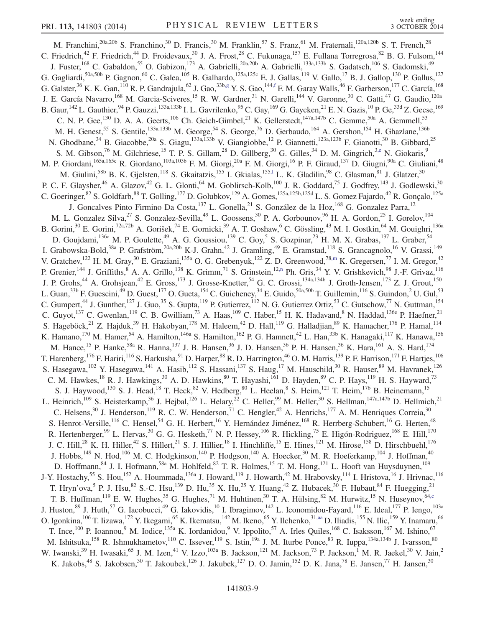<span id="page-8-3"></span><span id="page-8-2"></span><span id="page-8-1"></span><span id="page-8-0"></span>M. Franchini,<sup>20a,20b</sup> S. Franchino,<sup>30</sup> D. Francis,<sup>30</sup> M. Franklin,<sup>57</sup> S. Franz,<sup>61</sup> M. Fraternali,<sup>120a,120b</sup> S. T. French,<sup>28</sup> C. Friedrich,<sup>42</sup> F. Friedrich,<sup>44</sup> D. Froidevaux,<sup>30</sup> J. A. Frost,<sup>28</sup> C. Fukunaga,<sup>157</sup> E. Fullana Torregrosa,<sup>82</sup> B. G. Fulsom,<sup>144</sup> J. Fuster,<sup>168</sup> C. Gabaldon,<sup>55</sup> O. Gabizon,<sup>173</sup> A. Gabrielli,<sup>20a,20b</sup> A. Gabrielli,<sup>133a,133b</sup> S. Gadatsch,<sup>106</sup> S. Gadomski,<sup>49</sup> G. Gagliardi,<sup>50a,50b</sup> P. Gagnon,<sup>60</sup> C. Galea,<sup>105</sup> B. Galhardo,<sup>125a,125c</sup> E. J. Gallas,<sup>119</sup> V. Gallo,<sup>17</sup> B. J. Gallop,<sup>130</sup> P. Gallus,<sup>127</sup> G. Galster,<sup>36</sup> K. K. Gan,<sup>110</sup> R. P. Gandrajula,<sup>62</sup> J. Gao,<sup>33b[,g](#page-17-6)</sup> Y. S. Gao,<sup>14[4,f](#page-17-4)</sup> F. M. Garay Walls,<sup>46</sup> F. Garberson,<sup>177</sup> C. García,<sup>168</sup> J. E. García Navarro,<sup>168</sup> M. Garcia-Sciveres,<sup>15</sup> R. W. Gardner,<sup>31</sup> N. Garelli,<sup>144</sup> V. Garonne,<sup>30</sup> C. Gatti,<sup>47</sup> G. Gaudio,<sup>120a</sup> B. Gaur,  $^{142}$  L. Gauthier,  $^{94}$  P. Gauzzi,  $^{133a,133b}$  I. L. Gavrilenko,  $^{95}$  C. Gay,  $^{169}$  G. Gaycken,  $^{21}$  E. N. Gazis,  $^{10}$  P. Ge,  $^{33d}$  Z. Gecse,  $^{169}$ C. N. P. Gee,<sup>130</sup> D. A. A. Geerts,<sup>106</sup> Ch. Geich-Gimbel,<sup>21</sup> K. Gellerstedt,<sup>147a,147b</sup> C. Gemme,<sup>50a</sup> A. Gemmell,<sup>53</sup> M. H. Genest,<sup>55</sup> S. Gentile,<sup>133a,133b</sup> M. George,<sup>54</sup> S. George,<sup>76</sup> D. Gerbaudo,<sup>164</sup> A. Gershon,<sup>154</sup> H. Ghazlane,<sup>136b</sup> N. Ghodbane,<sup>34</sup> B. Giacobbe,<sup>20a</sup> S. Giagu,<sup>133a,133b</sup> V. Giangiobbe,<sup>12</sup> P. Giannetti,<sup>123a,123b</sup> F. Gianotti,<sup>30</sup> B. Gibbard,<sup>25</sup> S. M. Gibson,<sup>76</sup> M. Gilchriese,<sup>15</sup> T. P. S. Gillam,<sup>28</sup> D. Gillberg,<sup>30</sup> G. Gilles,<sup>34</sup> D. M. Gingrich,<sup>3[,e](#page-17-3)</sup> N. Giokaris,<sup>9</sup> M. P. Giordani, <sup>165a, 165c</sup> R. Giordano, <sup>103a, 103b</sup> F. M. Giorgi, <sup>20a</sup> F. M. Giorgi, <sup>16</sup> P. F. Giraud, <sup>137</sup> D. Giugni, <sup>90a</sup> C. Giuliani, <sup>48</sup> M. Giulini,<sup>58b</sup> B. K. Gjelsten,<sup>118</sup> S. Gkaitatzis,<sup>155</sup> I. Gkialas,<sup>155,1</sup> L. K. Gladilin,<sup>98</sup> C. Glasman,<sup>81</sup> J. Glatzer,<sup>30</sup> P. C. F. Glaysher,<sup>46</sup> A. Glazov,<sup>42</sup> G. L. Glonti,<sup>64</sup> M. Goblirsch-Kolb,<sup>100</sup> J. R. Goddard,<sup>75</sup> J. Godfrey,<sup>143</sup> J. Godlewski,<sup>30</sup> C. Goeringer,  $82$  S. Goldfarb,  $88$  T. Golling,  $^{177}$  D. Golubkov,  $^{129}$  A. Gomes,  $^{125a,125b,125d}$  L. S. Gomez Fajardo,  $^{42}$  R. Gonçalo,  $^{125a}$ J. Goncalves Pinto Firmino Da Costa, <sup>137</sup> L. Gonella, <sup>21</sup> S. González de la Hoz, <sup>168</sup> G. Gonzalez Parra, <sup>12</sup> M. L. Gonzalez Silva,<sup>27</sup> S. Gonzalez-Sevilla,<sup>49</sup> L. Goossens,<sup>30</sup> P. A. Gorbounov,<sup>96</sup> H. A. Gordon,<sup>25</sup> I. Gorelov,<sup>104</sup> B. Gorini,<sup>30</sup> E. Gorini,<sup>72a,72b</sup> A. Gorišek,<sup>74</sup> E. Gornicki,<sup>39</sup> A. T. Goshaw,<sup>6</sup> C. Gössling,<sup>43</sup> M. I. Gostkin,<sup>64</sup> M. Gouighri,<sup>136a</sup> D. Goujdami, 136c M. P. Goulette, <sup>49</sup> A. G. Goussiou, 139 C. Goy, 5 S. Gozpinar, 23 H. M. X. Grabas, <sup>137</sup> L. Graber, 54 I. Grabowska-Bold,<sup>38a</sup> P. Grafström,<sup>20a,20b</sup> K-J. Grahn,<sup>42</sup> J. Gramling,<sup>49</sup> E. Gramstad,<sup>118</sup> S. Grancagnolo,<sup>16</sup> V. Grassi,<sup>149</sup> V. Gratchev,<sup>122</sup> H. M. Gray,<sup>30</sup> E. Graziani,<sup>135a</sup> O. G. Grebenyuk,<sup>122</sup> Z. D. Greenwood,<sup>7[8,m](#page-17-12)</sup> K. Gregersen,<sup>77</sup> I. M. Gregor,<sup>42</sup> P. Grenier,<sup>144</sup> J. Griffiths,<sup>8</sup> A. A. Grillo,<sup>138</sup> K. Grimm,<sup>71</sup> S. Grinstein,<sup>1[2,n](#page-17-13)</sup> Ph. Gris,<sup>34</sup> Y. V. Grishkevich,<sup>98</sup> J.-F. Grivaz,<sup>116</sup> J. P. Grohs,<sup>44</sup> A. Grohsjean,<sup>42</sup> E. Gross,<sup>173</sup> J. Grosse-Knetter,<sup>54</sup> G. C. Grossi,<sup>134a,134b</sup> J. Groth-Jensen,<sup>173</sup> Z. J. Grout,<sup>150</sup> L. Guan,  $^{33b}$  F. Guescini,  $^{49}$  D. Guest,  $^{177}$  O. Gueta,  $^{154}$  C. Guicheney,  $^{34}$  E. Guido,  $^{50a,50b}$  T. Guillemin,  $^{116}$  S. Guindon,  $^2$  U. Gul,  $^{53}$ C. Gumpert,<sup>44</sup> J. Gunther,<sup>127</sup> J. Guo,<sup>35</sup> S. Gupta,<sup>119</sup> P. Gutierrez,<sup>112</sup> N. G. Gutierrez Ortiz,<sup>53</sup> C. Gutschow,<sup>77</sup> N. Guttman,<sup>154</sup> C. Guyot,<sup>137</sup> C. Gwenlan,<sup>119</sup> C. B. Gwilliam,<sup>73</sup> A. Haas,<sup>109</sup> C. Haber,<sup>15</sup> H. K. Hadavand,<sup>8</sup> N. Haddad,<sup>136e</sup> P. Haefner,<sup>21</sup> S. Hageböck,<sup>21</sup> Z. Hajduk,<sup>39</sup> H. Hakobyan,<sup>178</sup> M. Haleem,<sup>42</sup> D. Hall,<sup>119</sup> G. Halladjian,<sup>89</sup> K. Hamacher,<sup>176</sup> P. Hamal,<sup>114</sup> K. Hamano,<sup>170</sup> M. Hamer,<sup>54</sup> A. Hamilton,<sup>146a</sup> S. Hamilton,<sup>162</sup> P. G. Hamnett,<sup>42</sup> L. Han,<sup>33b</sup> K. Hanagaki,<sup>117</sup> K. Hanawa,<sup>156</sup> M. Hance,<sup>15</sup> P. Hanke,<sup>58a</sup> R. Hanna,<sup>137</sup> J. B. Hansen,<sup>36</sup> J. D. Hansen,<sup>36</sup> P. H. Hansen,<sup>36</sup> K. Hara,<sup>161</sup> A. S. Hard,<sup>174</sup> T. Harenberg, <sup>176</sup> F. Hariri, <sup>116</sup> S. Harkusha, <sup>91</sup> D. Harper, <sup>88</sup> R. D. Harrington, <sup>46</sup> O. M. Harris, <sup>139</sup> P. F. Harrison, <sup>171</sup> F. Hartjes, <sup>106</sup> S. Hasegawa,<sup>102</sup> Y. Hasegawa,<sup>141</sup> A. Hasib,<sup>112</sup> S. Hassani,<sup>137</sup> S. Haug,<sup>17</sup> M. Hauschild,<sup>30</sup> R. Hauser,<sup>89</sup> M. Havranek,<sup>126</sup> C. M. Hawkes,<sup>18</sup> R. J. Hawkings,<sup>30</sup> A. D. Hawkins,<sup>80</sup> T. Hayashi,<sup>161</sup> D. Hayden,<sup>89</sup> C. P. Hays,<sup>119</sup> H. S. Hayward,<sup>73</sup> S. J. Haywood,<sup>130</sup> S. J. Head,<sup>18</sup> T. Heck,<sup>82</sup> V. Hedberg,<sup>80</sup> L. Heelan,<sup>8</sup> S. Heim,<sup>121</sup> T. Heim,<sup>176</sup> B. Heinemann,<sup>15</sup> L. Heinrich,<sup>109</sup> S. Heisterkamp,<sup>36</sup> J. Hejbal,<sup>126</sup> L. Helary,<sup>22</sup> C. Heller,<sup>99</sup> M. Heller,<sup>30</sup> S. Hellman,<sup>147a,147b</sup> D. Hellmich,<sup>21</sup> C. Helsens,<sup>30</sup> J. Henderson,<sup>119</sup> R. C. W. Henderson,<sup>71</sup> C. Hengler,<sup>42</sup> A. Henrichs,<sup>177</sup> A. M. Henriques Correia,<sup>30</sup> S. Henrot-Versille,<sup>116</sup> C. Hensel,<sup>54</sup> G. H. Herbert,<sup>16</sup> Y. Hernández Jiménez,<sup>168</sup> R. Herrberg-Schubert,<sup>16</sup> G. Herten,<sup>48</sup> R. Hertenberger,  $99$  L. Hervas,  $30$  G. G. Hesketh,  $77$  N. P. Hessey,  $106$  R. Hickling,  $75$  E. Higón-Rodriguez,  $168$  E. Hill,  $170$ J. C. Hill,<sup>28</sup> K. H. Hiller,<sup>42</sup> S. Hillert,<sup>21</sup> S. J. Hillier,<sup>18</sup> I. Hinchliffe,<sup>15</sup> E. Hines,<sup>121</sup> M. Hirose,<sup>158</sup> D. Hirschbuehl,<sup>176</sup> J. Hobbs,<sup>149</sup> N. Hod,<sup>106</sup> M. C. Hodgkinson,<sup>140</sup> P. Hodgson,<sup>140</sup> A. Hoecker,<sup>30</sup> M. R. Hoeferkamp,<sup>104</sup> J. Hoffman,<sup>40</sup> D. Hoffmann,<sup>84</sup> J. I. Hofmann,<sup>58a</sup> M. Hohlfeld,<sup>82</sup> T. R. Holmes,<sup>15</sup> T. M. Hong,<sup>121</sup> L. Hooft van Huysduynen,<sup>109</sup> J-Y. Hostachy,<sup>55</sup> S. Hou,<sup>152</sup> A. Hoummada,<sup>136a</sup> J. Howard,<sup>119</sup> J. Howarth,<sup>42</sup> M. Hrabovsky,<sup>114</sup> I. Hristova,<sup>16</sup> J. Hrivnac,<sup>116</sup> T. Hryn'ova,<sup>5</sup> P. J. Hsu,<sup>82</sup> S.-C. Hsu,<sup>139</sup> D. Hu,<sup>35</sup> X. Hu,<sup>25</sup> Y. Huang,<sup>42</sup> Z. Hubacek,<sup>30</sup> F. Hubaut,<sup>84</sup> F. Huegging,<sup>21</sup> T. B. Huffman,<sup>119</sup> E. W. Hughes,<sup>35</sup> G. Hughes,<sup>71</sup> M. Huhtinen,<sup>30</sup> T. A. Hülsing,<sup>82</sup> M. Hurwitz,<sup>15</sup> N. Huseynov,<sup>6[4,c](#page-17-1)</sup> J. Huston,<sup>89</sup> J. Huth,<sup>57</sup> G. Iacobucci,<sup>49</sup> G. Iakovidis,<sup>10</sup> I. Ibragimov,<sup>142</sup> L. Iconomidou-Fayard,<sup>116</sup> E. Ideal,<sup>177</sup> P. Iengo,<sup>103a</sup> O. Igonkina, <sup>106</sup> T. Iizawa, <sup>172</sup> Y. Ikegami, <sup>65</sup> K. Ikematsu, <sup>142</sup> M. Ikeno, <sup>65</sup> Y. Ilchenko, <sup>31[,aa](#page-18-0)</sup> D. Iliadis, <sup>155</sup> N. Ilic, <sup>159</sup> Y. Inamaru, <sup>66</sup> T. Ince,<sup>100</sup> P. Ioannou,<sup>9</sup> M. Iodice,<sup>135a</sup> K. Iordanidou,<sup>9</sup> V. Ippolito,<sup>57</sup> A. Irles Quiles,<sup>168</sup> C. Isaksson,<sup>167</sup> M. Ishino,<sup>67</sup> M. Ishitsuka,<sup>158</sup> R. Ishmukhametov,<sup>110</sup> C. Issever,<sup>119</sup> S. Istin,<sup>19a</sup> J. M. Iturbe Ponce,<sup>83</sup> R. Iuppa,<sup>134a,134b</sup> J. Ivarsson,<sup>80</sup> W. Iwanski,<sup>39</sup> H. Iwasaki,<sup>65</sup> J. M. Izen,<sup>41</sup> V. Izzo,<sup>103a</sup> B. Jackson,<sup>121</sup> M. Jackson,<sup>73</sup> P. Jackson,<sup>1</sup> M. R. Jaekel,<sup>30</sup> V. Jain,<sup>2</sup> K. Jakobs,<sup>48</sup> S. Jakobsen,<sup>30</sup> T. Jakoubek,<sup>126</sup> J. Jakubek,<sup>127</sup> D. O. Jamin,<sup>152</sup> D. K. Jana,<sup>78</sup> E. Jansen,<sup>77</sup> H. Jansen,<sup>30</sup>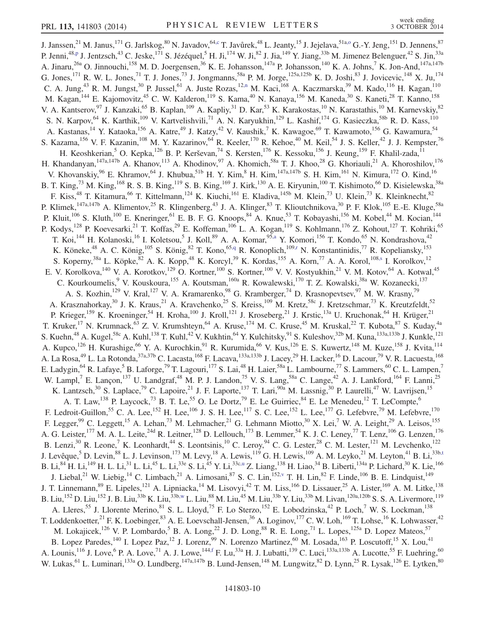<span id="page-9-7"></span><span id="page-9-6"></span><span id="page-9-5"></span><span id="page-9-4"></span><span id="page-9-3"></span><span id="page-9-2"></span><span id="page-9-1"></span><span id="page-9-0"></span>J. Janssen,<sup>21</sup> M. Janus,<sup>171</sup> G. Jarlskog,<sup>80</sup> N. Javadov,<sup>6[4,c](#page-17-1)</sup> T. Javůrek,<sup>48</sup> L. Jeanty,<sup>15</sup> J. Jejelava,<sup>51a[,o](#page-17-14)</sup> G.-Y. Jeng,<sup>151</sup> D. Jennens,<sup>87</sup> P. Jenni,<sup>48[,p](#page-17-15)</sup> J. Jentzsch,<sup>43</sup> C. Jeske,<sup>171</sup> S. Jézéquel,<sup>5</sup> H. Ji,<sup>174</sup> W. Ji,<sup>82</sup> J. Jia,<sup>149</sup> Y. Jiang,<sup>33b</sup> M. Jimenez Belenguer,<sup>42</sup> S. Jin,<sup>33a</sup> A. Jinaru,<sup>26a</sup> O. Jinnouchi,<sup>158</sup> M. D. Joergensen,<sup>36</sup> K. E. Johansson,<sup>147a</sup> P. Johansson,<sup>140</sup> K. A. Johns,<sup>7</sup> K. Jon-And,<sup>147a,147b</sup> G. Jones,<sup>171</sup> R. W. L. Jones,<sup>71</sup> T. J. Jones,<sup>73</sup> J. Jongmanns,<sup>58a</sup> P. M. Jorge,<sup>125a,125b</sup> K. D. Joshi,<sup>83</sup> J. Jovicevic,<sup>148</sup> X. Ju,<sup>174</sup> C. A. Jung,<sup>43</sup> R. M. Jungst,<sup>30</sup> P. Jussel,<sup>61</sup> A. Juste Rozas,<sup>1[2,n](#page-17-13)</sup> M. Kaci,<sup>168</sup> A. Kaczmarska,<sup>39</sup> M. Kado,<sup>116</sup> H. Kagan,<sup>110</sup> M. Kagan,<sup>144</sup> E. Kajomovitz,<sup>45</sup> C. W. Kalderon,<sup>119</sup> S. Kama,<sup>40</sup> N. Kanaya,<sup>156</sup> M. Kaneda,<sup>30</sup> S. Kaneti,<sup>28</sup> T. Kanno,<sup>158</sup> V. A. Kantserov, <sup>97</sup> J. Kanzaki, <sup>65</sup> B. Kaplan, <sup>109</sup> A. Kapliy, <sup>31</sup> D. Kar, <sup>53</sup> K. Karakostas, <sup>10</sup> N. Karastathis, <sup>10</sup> M. Karnevskiy, <sup>82</sup> S. N. Karpov, <sup>64</sup> K. Karthik, <sup>109</sup> V. Kartvelishvili, <sup>71</sup> A. N. Karyukhin, <sup>129</sup> L. Kashif, <sup>174</sup> G. Kasieczka, <sup>58b</sup> R. D. Kass, <sup>110</sup> A. Kastanas,<sup>14</sup> Y. Kataoka,<sup>156</sup> A. Katre,<sup>49</sup> J. Katzy,<sup>42</sup> V. Kaushik,<sup>7</sup> K. Kawagoe,<sup>69</sup> T. Kawamoto,<sup>156</sup> G. Kawamura,<sup>54</sup> S. Kazama,<sup>156</sup> V. F. Kazanin,<sup>108</sup> M. Y. Kazarinov,<sup>64</sup> R. Keeler,<sup>170</sup> R. Kehoe,<sup>40</sup> M. Keil,<sup>54</sup> J. S. Keller,<sup>42</sup> J. J. Kempster,<sup>76</sup> H. Keoshkerian,<sup>5</sup> O. Kepka,<sup>126</sup> B. P. Kerševan,<sup>74</sup> S. Kersten,<sup>176</sup> K. Kessoku,<sup>156</sup> J. Keung,<sup>159</sup> F. Khalil-zada,<sup>11</sup> H. Khandanyan,<sup>147a,147b</sup> A. Khanov,<sup>113</sup> A. Khodinov,<sup>97</sup> A. Khomich,<sup>58a</sup> T. J. Khoo,<sup>28</sup> G. Khoriauli,<sup>21</sup> A. Khoroshilov,<sup>176</sup> V. Khovanskiy,<sup>96</sup> E. Khramov,<sup>64</sup> J. Khubua,<sup>51b</sup> H. Y. Kim,<sup>8</sup> H. Kim,<sup>147a,147b</sup> S. H. Kim,<sup>161</sup> N. Kimura,<sup>172</sup> O. Kind,<sup>16</sup> B. T. King,<sup>73</sup> M. King,<sup>168</sup> R. S. B. King,<sup>119</sup> S. B. King,<sup>169</sup> J. Kirk,<sup>130</sup> A. E. Kiryunin,<sup>100</sup> T. Kishimoto,<sup>66</sup> D. Kisielewska,<sup>38a</sup> F. Kiss,<sup>48</sup> T. Kitamura,<sup>66</sup> T. Kittelmann,<sup>124</sup> K. Kiuchi,<sup>161</sup> E. Kladiva,<sup>145b</sup> M. Klein,<sup>73</sup> U. Klein,<sup>73</sup> K. Kleinknecht,<sup>82</sup> P. Klimek,<sup>147a,147b</sup> A. Klimentov,<sup>25</sup> R. Klingenberg,<sup>43</sup> J. A. Klinger,<sup>83</sup> T. Klioutchnikova,<sup>30</sup> P. F. Klok,<sup>105</sup> E.-E. Kluge,<sup>58a</sup> P. Kluit,<sup>106</sup> S. Kluth,<sup>100</sup> E. Kneringer,<sup>61</sup> E. B. F. G. Knoops,<sup>84</sup> A. Knue,<sup>53</sup> T. Kobayashi,<sup>156</sup> M. Kobel,<sup>44</sup> M. Kocian,<sup>144</sup> P. Kodys,<sup>128</sup> P. Koevesarki,<sup>21</sup> T. Koffas,<sup>29</sup> E. Koffeman,<sup>106</sup> L. A. Kogan,<sup>119</sup> S. Kohlmann,<sup>176</sup> Z. Kohout,<sup>127</sup> T. Kohriki,<sup>65</sup> T. Koi,<sup>144</sup> H. Kolanoski,<sup>16</sup> I. Koletsou,<sup>5</sup> J. Koll,<sup>89</sup> A. A. Komar,<sup>9[5,a](#page-17-5)</sup> Y. Komori,<sup>156</sup> T. Kondo,<sup>65</sup> N. Kondrashova,<sup>42</sup> K. Köneke,<sup>48</sup> A. C. König,<sup>105</sup> S. König,<sup>82</sup> T. Kono,<sup>65[,q](#page-17-16)</sup> R. Konoplich,<sup>109[,r](#page-17-17)</sup> N. Konstantinidis,<sup>77</sup> R. Kopeliansky,<sup>153</sup> S. Koperny,<sup>38a</sup> L. Köpke,<sup>82</sup> A. K. Kopp,<sup>48</sup> K. Korcyl,<sup>39</sup> K. Kordas,<sup>155</sup> A. Korn,<sup>77</sup> A. A. Korol,<sup>10[8,s](#page-17-18)</sup> I. Korolkov,<sup>12</sup> E. V. Korolkova, <sup>140</sup> V. A. Korotkov, <sup>129</sup> O. Kortner, <sup>100</sup> S. Kortner, <sup>100</sup> V. V. Kostyukhin, <sup>21</sup> V. M. Kotov, <sup>64</sup> A. Kotwal, <sup>45</sup> C. Kourkoumelis, <sup>9</sup> V. Kouskoura, <sup>155</sup> A. Koutsman, <sup>160a</sup> R. Kowalewski, <sup>170</sup> T. Z. Kowalski, <sup>38a</sup> W. Kozanecki, <sup>137</sup> A. S. Kozhin,<sup>129</sup> V. Kral,<sup>127</sup> V. A. Kramarenko,<sup>98</sup> G. Kramberger,<sup>74</sup> D. Krasnopevtsev,<sup>97</sup> M. W. Krasny,<sup>79</sup> A. Krasznahorkay,<sup>30</sup> J. K. Kraus,<sup>21</sup> A. Kravchenko,<sup>25</sup> S. Kreiss,<sup>109</sup> M. Kretz,<sup>58c</sup> J. Kretzschmar,<sup>73</sup> K. Kreutzfeldt,<sup>52</sup> P. Krieger,<sup>159</sup> K. Kroeninger,<sup>54</sup> H. Kroha,<sup>100</sup> J. Kroll,<sup>121</sup> J. Kroseberg,<sup>21</sup> J. Krstic,<sup>13a</sup> U. Kruchonak,<sup>64</sup> H. Krüger,<sup>21</sup> T. Kruker,<sup>17</sup> N. Krumnack,<sup>63</sup> Z. V. Krumshteyn,<sup>64</sup> A. Kruse,<sup>174</sup> M. C. Kruse,<sup>45</sup> M. Kruskal,<sup>22</sup> T. Kubota,<sup>87</sup> S. Kuday,<sup>4a</sup> S. Kuehn,<sup>48</sup> A. Kugel,<sup>58c</sup> A. Kuhl,<sup>138</sup> T. Kuhl,<sup>42</sup> V. Kukhtin,<sup>64</sup> Y. Kulchitsky,<sup>91</sup> S. Kuleshov,<sup>32b</sup> M. Kuna,<sup>133a,133b</sup> J. Kunkle,<sup>121</sup> A. Kupco,<sup>126</sup> H. Kurashige,<sup>66</sup> Y. A. Kurochkin,<sup>91</sup> R. Kurumida,<sup>66</sup> V. Kus,<sup>126</sup> E. S. Kuwertz,<sup>148</sup> M. Kuze,<sup>158</sup> J. Kvita,<sup>114</sup> A. La Rosa, $^{49}$  L. La Rotonda, $^{37$ a,37b C. Lacasta, $^{168}$  F. Lacava, $^{133$ a,133b J. Lacey, $^{29}$  H. Lacker, $^{16}$  D. Lacour, $^{79}$  V. R. Lacuesta,  $^{168}$ E. Ladygin, <sup>64</sup> R. Lafaye, 5<sup>5</sup> B. Laforge, <sup>79</sup> T. Lagouri, <sup>177</sup> S. Lai, <sup>48</sup> H. Laier, 58a L. Lambourne, 77 S. Lammers, <sup>60</sup> C. L. Lampen, 7 W. Lampl,<sup>7</sup> E. Lançon,<sup>137</sup> U. Landgraf,<sup>48</sup> M. P. J. Landon,<sup>75</sup> V. S. Lang,<sup>58a</sup> C. Lange,<sup>42</sup> A. J. Lankford,<sup>164</sup> F. Lanni,<sup>25</sup> K. Lantzsch,<sup>30</sup> S. Laplace,<sup>79</sup> C. Lapoire,<sup>21</sup> J. F. Laporte,<sup>137</sup> T. Lari,<sup>90a</sup> M. Lassnig,<sup>30</sup> P. Laurelli,<sup>47</sup> W. Lavrijsen,<sup>15</sup> A. T. Law,<sup>138</sup> P. Laycock,<sup>73</sup> B. T. Le,<sup>55</sup> O. Le Dortz,<sup>79</sup> E. Le Guirriec,<sup>84</sup> E. Le Menedeu,<sup>12</sup> T. LeCompte,<sup>6</sup> F. Ledroit-Guillon,<sup>55</sup> C. A. Lee,<sup>152</sup> H. Lee,<sup>106</sup> J. S. H. Lee,<sup>117</sup> S. C. Lee,<sup>152</sup> L. Lee,<sup>177</sup> G. Lefebvre,<sup>79</sup> M. Lefebvre,<sup>170</sup> F. Legger,<sup>99</sup> C. Leggett,<sup>15</sup> A. Lehan,<sup>73</sup> M. Lehmacher,<sup>21</sup> G. Lehmann Miotto,<sup>30</sup> X. Lei,<sup>7</sup> W. A. Leight,<sup>29</sup> A. Leisos,<sup>155</sup> A. G. Leister,<sup>177</sup> M. A. L. Leite,<sup>24d</sup> R. Leitner,<sup>128</sup> D. Lellouch,<sup>173</sup> B. Lemmer,<sup>54</sup> K. J. C. Leney,<sup>77</sup> T. Lenz,<sup>106</sup> G. Lenzen,<sup>176</sup> B. Lenzi,<sup>30</sup> R. Leone,<sup>7</sup> K. Leonhardt,<sup>44</sup> S. Leontsinis,<sup>10</sup> C. Leroy,<sup>94</sup> C. G. Lester,<sup>28</sup> C. M. Lester,<sup>121</sup> M. Levchenko,<sup>122</sup> J. Levêque,  $5$  D. Levin,  $88$  L. J. Levinson,  $^{173}$  M. Levy,  $^{18}$  A. Lewis,  $^{119}$  G. H. Lewis,  $^{109}$  A. M. Leyko,  $^{21}$  M. Leyton,  $^{41}$  B. Li,  $^{33b, t}$ B. Li, $^{84}$  H. Li, $^{149}$  H. L. Li, $^{31}$  L. Li, $^{45}$  L. Li, $^{33e}$  S. Li, $^{45}$  Y. Li, $^{33c,u}$  $^{33c,u}$  $^{33c,u}$  Z. Liang, $^{138}$  H. Liao, $^{34}$  B. Liberti, $^{134a}$  P. Lichard, $^{30}$  K. Lie, $^{166}$ J. Liebal,<sup>21</sup> W. Liebig,<sup>14</sup> C. Limbach,<sup>21</sup> A. Limosani,<sup>87</sup> S. C. Lin,<sup>15[2,v](#page-17-21)</sup> T. H. Lin,<sup>82</sup> F. Linde,<sup>106</sup> B. E. Lindquist,<sup>149</sup> J. T. Linnemann, <sup>89</sup> E. Lipeles, <sup>121</sup> A. Lipniacka, <sup>14</sup> M. Lisovyi, <sup>42</sup> T. M. Liss, <sup>166</sup> D. Lissauer, <sup>25</sup> A. Lister, <sup>169</sup> A. M. Litke, <sup>138</sup> B. Liu,<sup>152</sup> D. Liu,<sup>152</sup> J. B. Liu,<sup>33b</sup> K. Liu,<sup>33[b,w](#page-17-22)</sup> L. Liu,<sup>88</sup> M. Liu,<sup>45</sup> M. Liu,<sup>33b</sup> Y. Liu,<sup>33b</sup> M. Livan,<sup>120a,120b</sup> S. S. A. Livermore,<sup>119</sup> A. Lleres,<sup>55</sup> J. Llorente Merino,<sup>81</sup> S. L. Lloyd,<sup>75</sup> F. Lo Sterzo,<sup>152</sup> E. Lobodzinska,<sup>42</sup> P. Loch,<sup>7</sup> W. S. Lockman,<sup>138</sup> T. Loddenkoetter,<sup>21</sup> F. K. Loebinger,<sup>83</sup> A. E. Loevschall-Jensen,<sup>36</sup> A. Loginov,<sup>177</sup> C. W. Loh,<sup>169</sup> T. Lohse,<sup>16</sup> K. Lohwasser,<sup>42</sup> M. Lokajicek,<sup>126</sup> V. P. Lombardo,<sup>5</sup> B. A. Long,<sup>22</sup> J. D. Long,<sup>88</sup> R. E. Long,<sup>71</sup> L. Lopes,<sup>125a</sup> D. Lopez Mateos,<sup>57</sup> B. Lopez Paredes,<sup>140</sup> I. Lopez Paz,<sup>12</sup> J. Lorenz,<sup>99</sup> N. Lorenzo Martinez,<sup>60</sup> M. Losada,<sup>163</sup> P. Loscutoff,<sup>15</sup> X. Lou,<sup>41</sup> A. Lounis,  $^{116}$  J. Love, <sup>6</sup> P. A. Love, <sup>71</sup> A. J. Lowe,  $^{144,f}$  $^{144,f}$  $^{144,f}$  F. Lu,  $^{33a}$  H. J. Lubatti,  $^{139}$  C. Luci,  $^{133a,133b}$  A. Lucotte,  $^{55}$  F. Luehring,  $^{60}$ W. Lukas, <sup>61</sup> L. Luminari,<sup>133a</sup> O. Lundberg,<sup>147a,147b</sup> B. Lund-Jensen,<sup>148</sup> M. Lungwitz,<sup>82</sup> D. Lynn,<sup>25</sup> R. Lysak,<sup>126</sup> E. Lytken,<sup>80</sup>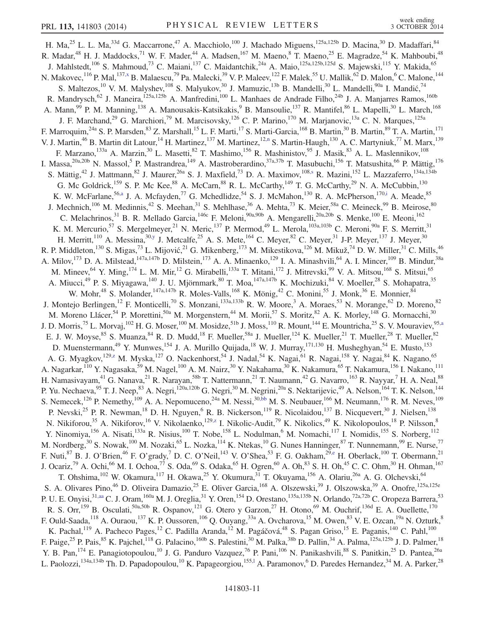<span id="page-10-3"></span><span id="page-10-2"></span><span id="page-10-1"></span><span id="page-10-0"></span>H. Ma,<sup>25</sup> L. L. Ma,<sup>33d</sup> G. Maccarrone,<sup>47</sup> A. Macchiolo,<sup>100</sup> J. Machado Miguens,<sup>125a,125b</sup> D. Macina,<sup>30</sup> D. Madaffari,<sup>84</sup> R. Madar,<sup>48</sup> H. J. Maddocks,<sup>71</sup> W. F. Mader,<sup>44</sup> A. Madsen,<sup>167</sup> M. Maeno,<sup>8</sup> T. Maeno,<sup>25</sup> E. Magradze,<sup>54</sup> K. Mahboubi,<sup>48</sup> J. Mahlstedt,<sup>106</sup> S. Mahmoud,<sup>73</sup> C. Maiani,<sup>137</sup> C. Maidantchik,<sup>24a</sup> A. Maio,<sup>125a,125b,125d</sup> S. Majewski,<sup>115</sup> Y. Makida,<sup>65</sup> N. Makovec,  $^{116}$  P. Mal,  $^{137,x}$  $^{137,x}$  $^{137,x}$  B. Malaescu,<sup>79</sup> Pa. Malecki,<sup>39</sup> V. P. Maleev, <sup>122</sup> F. Malek,<sup>55</sup> U. Mallik, <sup>62</sup> D. Malon,<sup>6</sup> C. Malone, <sup>144</sup> S. Maltezos, <sup>10</sup> V. M. Malyshev, <sup>108</sup> S. Malyukov, <sup>30</sup> J. Mamuzic, <sup>13b</sup> B. Mandelli, <sup>30</sup> L. Mandelli, <sup>90a</sup> I. Mandić, <sup>74</sup> R. Mandrysch,<sup>62</sup> J. Maneira,<sup>125a,125b</sup> A. Manfredini,<sup>100</sup> L. Manhaes de Andrade Filho,<sup>24b</sup> J. A. Manjarres Ramos,<sup>160b</sup> A. Mann, <sup>99</sup> P. M. Manning, <sup>138</sup> A. Manousakis-Katsikakis, <sup>9</sup> B. Mansoulie, <sup>137</sup> R. Mantifel, <sup>86</sup> L. Mapelli, <sup>30</sup> L. March, <sup>168</sup> J. F. Marchand,<sup>29</sup> G. Marchiori,<sup>79</sup> M. Marcisovsky,<sup>126</sup> C. P. Marino,<sup>170</sup> M. Marjanovic,<sup>13a</sup> C. N. Marques,<sup>125a</sup> F. Marroquim,<sup>24a</sup> S. P. Marsden,<sup>83</sup> Z. Marshall,<sup>15</sup> L. F. Marti,<sup>17</sup> S. Marti-Garcia,<sup>168</sup> B. Martin,<sup>30</sup> B. Martin,<sup>89</sup> T. A. Martin,<sup>171</sup> V. J. Martin,<sup>46</sup> B. Martin dit Latour,<sup>14</sup> H. Martinez,<sup>137</sup> M. Martinez,<sup>1[2,n](#page-17-13)</sup> S. Martin-Haugh,<sup>130</sup> A. C. Martyniuk,<sup>77</sup> M. Marx,<sup>139</sup> F. Marzano,<sup>133a</sup> A. Marzin,<sup>30</sup> L. Masetti,<sup>82</sup> T. Mashimo,<sup>156</sup> R. Mashinistov,<sup>95</sup> J. Masik,<sup>83</sup> A. L. Maslennikov,<sup>108</sup> I. Massa,<sup>20a,20b</sup> N. Massol,<sup>5</sup> P. Mastrandrea,<sup>149</sup> A. Mastroberardino,<sup>37a,37b</sup> T. Masubuchi,<sup>156</sup> T. Matsushita,<sup>66</sup> P. Mättig,<sup>176</sup> S. Mättig,<sup>42</sup> J. Mattmann,<sup>82</sup> J. Maurer,<sup>26a</sup> S. J. Maxfield,<sup>73</sup> D. A. Maximov,<sup>10[8,s](#page-17-18)</sup> R. Mazini,<sup>152</sup> L. Mazzaferro,<sup>134a,134b</sup> G. Mc Goldrick,<sup>159</sup> S. P. Mc Kee,<sup>88</sup> A. McCarn,<sup>88</sup> R. L. McCarthy,<sup>149</sup> T. G. McCarthy,<sup>29</sup> N. A. McCubbin,<sup>130</sup> K. W. McFarlane,<sup>56[,a](#page-17-5)</sup> J. A. Mcfayden,<sup>77</sup> G. Mchedlidze,<sup>54</sup> S. J. McMahon,<sup>130</sup> R. A. McPherson,<sup>170[,i](#page-17-8)</sup> A. Meade,<sup>85</sup> J. Mechnich,<sup>106</sup> M. Medinnis,<sup>42</sup> S. Meehan,<sup>31</sup> S. Mehlhase,<sup>36</sup> A. Mehta,<sup>73</sup> K. Meier,<sup>58a</sup> C. Meineck,<sup>99</sup> B. Meirose,<sup>80</sup> C. Melachrinos,<sup>31</sup> B. R. Mellado Garcia,<sup>146c</sup> F. Meloni,<sup>90a,90b</sup> A. Mengarelli,<sup>20a,20b</sup> S. Menke,<sup>100</sup> E. Meoni,<sup>162</sup> K. M. Mercurio,<sup>57</sup> S. Mergelmeyer,<sup>21</sup> N. Meric,<sup>137</sup> P. Mermod,<sup>49</sup> L. Merola,<sup>103a,103b</sup> C. Meroni,<sup>90a</sup> F. S. Merritt,<sup>31</sup> H. Merritt,<sup>110</sup> A. Messina,<sup>30[,y](#page-17-24)</sup> J. Metcalfe,<sup>25</sup> A. S. Mete,<sup>164</sup> C. Meyer,<sup>82</sup> C. Meyer,<sup>31</sup> J-P. Meyer,<sup>137</sup> J. Meyer,<sup>30</sup> R. P. Middleton,<sup>130</sup> S. Migas,<sup>73</sup> L. Mijović,<sup>21</sup> G. Mikenberg,<sup>173</sup> M. Mikestikova,<sup>126</sup> M. Mikuž,<sup>74</sup> D. W. Miller,<sup>31</sup> C. Mills,<sup>46</sup> A. Milov,<sup>173</sup> D. A. Milstead,<sup>147a,147b</sup> D. Milstein,<sup>173</sup> A. A. Minaenko,<sup>129</sup> I. A. Minashvili,<sup>64</sup> A. I. Mincer,<sup>109</sup> B. Mindur,<sup>38a</sup> M. Mineev, <sup>64</sup> Y. Ming, <sup>174</sup> L. M. Mir, <sup>12</sup> G. Mirabelli, <sup>133a</sup> T. Mitani, <sup>172</sup> J. Mitrevski, <sup>99</sup> V. A. Mitsou, <sup>168</sup> S. Mitsui, <sup>65</sup> A. Miucci,<sup>49</sup> P. S. Miyagawa,<sup>140</sup> J. U. Mjörnmark,<sup>80</sup> T. Moa,<sup>147a,147b</sup> K. Mochizuki,<sup>84</sup> V. Moeller,<sup>28</sup> S. Mohapatra,<sup>35</sup> W. Mohr,<sup>48</sup> S. Molander,<sup>147a,147b</sup> R. Moles-Valls,<sup>168</sup> K. Mönig,<sup>42</sup> C. Monini,<sup>55</sup> J. Monk,<sup>36</sup> E. Monnier,<sup>84</sup> J. Montejo Berlingen,<sup>12</sup> F. Monticelli,<sup>70</sup> S. Monzani,<sup>133a,133b</sup> R. W. Moore,<sup>3</sup> A. Moraes,<sup>53</sup> N. Morange,<sup>62</sup> D. Moreno,<sup>82</sup> M. Moreno Llácer, 54 P. Morettini, <sup>50a</sup> M. Morgenstern, <sup>44</sup> M. Morii, 57 S. Moritz, 82 A. K. Morley, <sup>148</sup> G. Mornacchi, <sup>30</sup> J. D. Morris,<sup>75</sup> L. Morvaj,<sup>102</sup> H. G. Moser,<sup>100</sup> M. Mosidze,<sup>51b</sup> J. Moss,<sup>110</sup> R. Mount,<sup>144</sup> E. Mountricha,<sup>25</sup> S. V. Mouraviev,<sup>9[5,a](#page-17-5)</sup> E. J. W. Moyse,  $85$  S. Muanza,  $84$  R. D. Mudd,  $18$  F. Mueller,  $58a$  J. Mueller,  $124$  K. Mueller,  $21$  T. Mueller,  $28$  T. Mueller,  $82$ D. Muenstermann,<sup>49</sup> Y. Munwes,<sup>154</sup> J. A. Murillo Quijada,<sup>18</sup> W. J. Murray,<sup>171,130</sup> H. Musheghyan,<sup>54</sup> E. Musto,<sup>153</sup> A. G. Myagkov,<sup>12[9,z](#page-18-1)</sup> M. Myska,<sup>127</sup> O. Nackenhorst,<sup>54</sup> J. Nadal,<sup>54</sup> K. Nagai,<sup>61</sup> R. Nagai,<sup>158</sup> Y. Nagai,<sup>84</sup> K. Nagano,<sup>65</sup> A. Nagarkar,<sup>110</sup> Y. Nagasaka,<sup>59</sup> M. Nagel,<sup>100</sup> A. M. Nairz,<sup>30</sup> Y. Nakahama,<sup>30</sup> K. Nakamura,<sup>65</sup> T. Nakamura,<sup>156</sup> I. Nakano,<sup>111</sup> H. Namasivayam,<sup>41</sup> G. Nanava,<sup>21</sup> R. Narayan,<sup>58b</sup> T. Nattermann,<sup>21</sup> T. Naumann,<sup>42</sup> G. Navarro,<sup>163</sup> R. Nayyar,<sup>7</sup> H. A. Neal,<sup>88</sup> P. Yu. Nechaeva, <sup>95</sup> T. J. Neep, <sup>83</sup> A. Negri, <sup>120a,120b</sup> G. Negri, <sup>30</sup> M. Negrini,<sup>20a</sup> S. Nektarijevic,<sup>49</sup> A. Nelson,<sup>164</sup> T. K. Nelson,<sup>144</sup> S. Nemecek, <sup>126</sup> P. Nemethy, <sup>109</sup> A. A. Nepomuceno, <sup>24a</sup> M. Nessi, <sup>30[,bb](#page-18-2)</sup> M. S. Neubauer, <sup>166</sup> M. Neumann, <sup>176</sup> R. M. Neves, <sup>109</sup> P. Nevski,<sup>25</sup> P. R. Newman,<sup>18</sup> D. H. Nguyen,<sup>6</sup> R. B. Nickerson,<sup>119</sup> R. Nicolaidou,<sup>137</sup> B. Nicquevert,<sup>30</sup> J. Nielsen,<sup>138</sup> N. Nikiforou,<sup>35</sup> A. Nikiforov,<sup>16</sup> V. Nikolaenko,<sup>12[9,z](#page-18-1)</sup> I. Nikolic-Audit,<sup>79</sup> K. Nikolics,<sup>49</sup> K. Nikolopoulos,<sup>18</sup> P. Nilsson,<sup>8</sup> Y. Ninomiya,<sup>156</sup> A. Nisati,<sup>133a</sup> R. Nisius,<sup>100</sup> T. Nobe,<sup>158</sup> L. Nodulman,<sup>6</sup> M. Nomachi,<sup>117</sup> I. Nomidis,<sup>155</sup> S. Norberg,<sup>112</sup> M. Nordberg,<sup>30</sup> S. Nowak,<sup>100</sup> M. Nozaki,<sup>65</sup> L. Nozka,<sup>114</sup> K. Ntekas,<sup>10</sup> G. Nunes Hanninger,<sup>87</sup> T. Nunnemann,<sup>99</sup> E. Nurse,<sup>77</sup> F. Nuti,  $8^7$  B. J. O'Brien,  $4^6$  F. O'grady,  $7$  D. C. O'Neil,  $143$  V. O'Shea,  $5^3$  F. G. Oakham,  $29,$ e H. Oberlack,  $100$  T. Obermann,  $21$ J. Ocariz,<sup>79</sup> A. Ochi,<sup>66</sup> M. I. Ochoa,<sup>77</sup> S. Oda,<sup>69</sup> S. Odaka,<sup>65</sup> H. Ogren,<sup>60</sup> A. Oh,<sup>83</sup> S. H. Oh,<sup>45</sup> C. C. Ohm,<sup>30</sup> H. Ohman,<sup>167</sup> T. Ohshima, <sup>102</sup> W. Okamura, <sup>117</sup> H. Okawa, <sup>25</sup> Y. Okumura, <sup>31</sup> T. Okuyama, <sup>156</sup> A. Olariu, <sup>26a</sup> A. G. Olchevski, <sup>64</sup> S. A. Olivares Pino,<sup>46</sup> D. Oliveira Damazio,<sup>25</sup> E. Oliver Garcia,<sup>168</sup> A. Olszewski,<sup>39</sup> J. Olszowska,<sup>39</sup> A. Onofre,<sup>125a,125e</sup> P. U. E. Onyisi,<sup>31[,aa](#page-18-0)</sup> C. J. Oram,<sup>160a</sup> M. J. Oreglia,<sup>31</sup> Y. Oren,<sup>154</sup> D. Orestano,<sup>135a,135b</sup> N. Orlando,<sup>72a,72b</sup> C. Oropeza Barrera,<sup>53</sup> R. S. Orr, <sup>159</sup> B. Osculati, <sup>50a,50b</sup> R. Ospanov, <sup>121</sup> G. Otero y Garzon, <sup>27</sup> H. Otono, <sup>69</sup> M. Ouchrif, <sup>136d</sup> E. A. Ouellette, <sup>170</sup> F. Ould-Saada,<sup>118</sup> A. Ouraou,<sup>137</sup> K. P. Oussoren,<sup>106</sup> Q. Ouyang,<sup>33a</sup> A. Ovcharova,<sup>15</sup> M. Owen,<sup>83</sup> V. E. Ozcan,<sup>19a</sup> N. Ozturk,<sup>8</sup> K. Pachal,<sup>119</sup> A. Pacheco Pages,<sup>12</sup> C. Padilla Aranda,<sup>12</sup> M. Pagáčová,<sup>48</sup> S. Pagan Griso,<sup>15</sup> E. Paganis,<sup>140</sup> C. Pahl,<sup>100</sup> F. Paige,<sup>25</sup> P. Pais,<sup>85</sup> K. Pajchel,<sup>118</sup> G. Palacino,<sup>160b</sup> S. Palestini,<sup>30</sup> M. Palka,<sup>38b</sup> D. Pallin,<sup>34</sup> A. Palma,<sup>125a,125b</sup> J. D. Palmer,<sup>18</sup> Y. B. Pan,<sup>174</sup> E. Panagiotopoulou,<sup>10</sup> J. G. Panduro Vazquez,<sup>76</sup> P. Pani,<sup>106</sup> N. Panikashvili,<sup>88</sup> S. Panitkin,<sup>25</sup> D. Pantea,<sup>26a</sup> L. Paolozzi,  $^{134a,134b}$  Th. D. Papadopoulou,  $^{10}$  K. Papageorgiou,  $^{155,1}$  A. Paramonov,  $^{6}$  D. Paredes Hernandez,  $^{34}$  M. A. Parker,  $^{28}$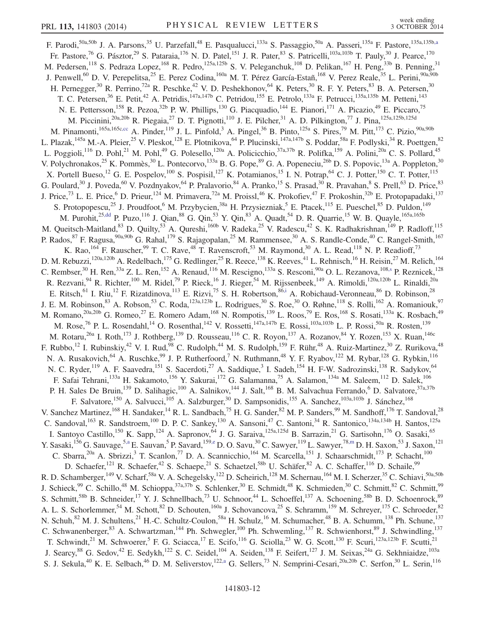<span id="page-11-1"></span><span id="page-11-0"></span>F. Parodi,<sup>50a,50b</sup> J. A. Parsons,<sup>35</sup> U. Parzefall,<sup>48</sup> E. Pasqualucci,<sup>133a</sup> S. Passaggio,<sup>50a</sup> A. Passeri,<sup>135a</sup> F. Pastore,<sup>135a,135[b,a](#page-17-5)</sup> Fr. Pastore,<sup>76</sup> G. Pásztor,<sup>29</sup> S. Pataraia,<sup>176</sup> N. D. Patel,<sup>151</sup> J. R. Pater,<sup>83</sup> S. Patricelli,<sup>103a,103b</sup> T. Pauly,<sup>30</sup> J. Pearce,<sup>170</sup> M. Pedersen,<sup>118</sup> S. Pedraza Lopez,<sup>168</sup> R. Pedro,<sup>125a,125b</sup> S. V. Peleganchuk,<sup>108</sup> D. Pelikan,<sup>167</sup> H. Peng,<sup>33b</sup> B. Penning,<sup>31</sup> J. Penwell,<sup>60</sup> D. V. Perepelitsa,<sup>25</sup> E. Perez Codina,<sup>160a</sup> M. T. Pérez García-Estañ,<sup>168</sup> V. Perez Reale,<sup>35</sup> L. Perini,<sup>90a,90b</sup> H. Pernegger,<sup>30</sup> R. Perrino,<sup>72a</sup> R. Peschke,<sup>42</sup> V. D. Peshekhonov,<sup>64</sup> K. Peters,<sup>30</sup> R. F. Y. Peters,<sup>83</sup> B. A. Petersen,<sup>30</sup> T. C. Petersen,<sup>36</sup> E. Petit,<sup>42</sup> A. Petridis,<sup>147a,147b</sup> C. Petridou,<sup>155</sup> E. Petrolo,<sup>133a</sup> F. Petrucci,<sup>135a,135b</sup> M. Petteni,<sup>143</sup> N. E. Pettersson,<sup>158</sup> R. Pezoa,<sup>32b</sup> P. W. Phillips,<sup>130</sup> G. Piacquadio,<sup>144</sup> E. Pianori,<sup>171</sup> A. Picazio,<sup>49</sup> E. Piccaro,<sup>75</sup> M. Piccinini,<sup>20a,20b</sup> R. Piegaia,<sup>27</sup> D. T. Pignotti,<sup>110</sup> J. E. Pilcher,<sup>31</sup> A. D. Pilkington,<sup>77</sup> J. Pina,<sup>125a,125b,125d</sup> M. Pinamonti,  $^{165a,165c,cc}$  $^{165a,165c,cc}$  $^{165a,165c,cc}$  A. Pinder,  $^{119}$  J. L. Pinfold,  $^3$  A. Pingel,  $^{36}$  B. Pinto,  $^{125a}$  S. Pires,  $^{79}$  M. Pitt,  $^{173}$  C. Pizio,  $^{90a,90b}$ L. Plazak,<sup>145a</sup> M.-A. Pleier,<sup>25</sup> V. Pleskot,<sup>128</sup> E. Plotnikova,<sup>64</sup> P. Plucinski,<sup>147a,147b</sup> S. Poddar,<sup>58a</sup> F. Podlyski,<sup>34</sup> R. Poettgen,<sup>82</sup> L. Poggioli,<sup>116</sup> D. Pohl,<sup>21</sup> M. Pohl,<sup>49</sup> G. Polesello,<sup>120a</sup> A. Policicchio,<sup>37a,37b</sup> R. Polifka,<sup>159</sup> A. Polini,<sup>20a</sup> C. S. Pollard,<sup>45</sup> V. Polychronakos,<sup>25</sup> K. Pommès,<sup>30</sup> L. Pontecorvo,<sup>133a</sup> B. G. Pope,<sup>89</sup> G. A. Popeneciu,<sup>26b</sup> D. S. Popovic,<sup>13a</sup> A. Poppleton,<sup>30</sup> X. Portell Bueso,<sup>12</sup> G. E. Pospelov,<sup>100</sup> S. Pospisil,<sup>127</sup> K. Potamianos,<sup>15</sup> I. N. Potrap,<sup>64</sup> C. J. Potter,<sup>150</sup> C. T. Potter,<sup>115</sup> G. Poulard,  $30$  J. Poveda,  $60$  V. Pozdnyakov,  $64$  P. Pralavorio,  $84$  A. Pranko,  $15$  S. Prasad,  $30$  R. Pravahan,  $8$  S. Prell,  $63$  D. Price,  $83$ J. Price,<sup>73</sup> L. E. Price,<sup>6</sup> D. Prieur,<sup>124</sup> M. Primavera,<sup>72a</sup> M. Proissl,<sup>46</sup> K. Prokofiev,<sup>47</sup> F. Prokoshin,<sup>32b</sup> E. Protopapadaki,<sup>137</sup> S. Protopopescu,<sup>25</sup> J. Proudfoot,<sup>6</sup> M. Przybycien,<sup>38a</sup> H. Przysiezniak,<sup>5</sup> E. Ptacek,<sup>115</sup> E. Pueschel,<sup>85</sup> D. Puldon,<sup>149</sup> M. Purohit,<sup>2[5,dd](#page-18-4)</sup> P. Puzo,<sup>116</sup> J. Qian,<sup>88</sup> G. Qin,<sup>53</sup> Y. Qin,<sup>83</sup> A. Quadt,<sup>54</sup> D. R. Quarrie,<sup>15</sup> W. B. Quayle,<sup>165a,165b</sup> M. Queitsch-Maitland, <sup>83</sup> D. Quilty, <sup>53</sup> A. Qureshi, <sup>160b</sup> V. Radeka, <sup>25</sup> V. Radescu, <sup>42</sup> S. K. Radhakrishnan, <sup>149</sup> P. Radloff, <sup>115</sup> P. Rados, <sup>87</sup> F. Ragusa, <sup>90a, 90b</sup> G. Rahal, <sup>179</sup> S. Rajagopalan, <sup>25</sup> M. Rammensee, <sup>30</sup> A. S. Randle-Conde, <sup>40</sup> C. Rangel-Smith, <sup>167</sup> K. Rao,  $^{164}$  F. Rauscher,  $^{99}$  T. C. Rave,  $^{48}$  T. Ravenscroft,  $^{53}$  M. Raymond,  $^{30}$  A. L. Read,  $^{118}$  N. P. Readioff,  $^{73}$ D. M. Rebuzzi,<sup>120a,120b</sup> A. Redelbach,<sup>175</sup> G. Redlinger,<sup>25</sup> R. Reece,<sup>138</sup> K. Reeves,<sup>41</sup> L. Rehnisch,<sup>16</sup> H. Reisin,<sup>27</sup> M. Relich,<sup>164</sup> C. Rembser,  $30$  H. Ren,  $33a$  Z. L. Ren,  $152$  A. Renaud,  $116$  M. Rescigno,  $133a$  S. Resconi,  $90a$  O. L. Rezanova,  $108, s$  P. Reznicek,  $128$ R. Rezvani,<sup>94</sup> R. Richter,<sup>100</sup> M. Ridel,<sup>79</sup> P. Rieck,<sup>16</sup> J. Rieger,<sup>54</sup> M. Rijssenbeek,<sup>149</sup> A. Rimoldi,<sup>120a,120b</sup> L. Rinaldi,<sup>20a</sup> E. Ritsch,<sup>61</sup> I. Riu,<sup>12</sup> F. Rizatdinova,<sup>113</sup> E. Rizvi,<sup>75</sup> S. H. Robertson, <sup>8[6,i](#page-17-8)</sup> A. Robichaud-Veronneau, <sup>86</sup> D. Robinson, <sup>28</sup> J. E. M. Robinson,  $83$  A. Robson,  $53$  C. Roda,  $123a,123b$  L. Rodrigues,  $30$  S. Roe,  $30$  O. Røhne,  $118$  S. Rolli,  $162$  A. Romaniouk,  $97$ M. Romano,<sup>20a,20b</sup> G. Romeo,<sup>27</sup> E. Romero Adam,<sup>168</sup> N. Rompotis,<sup>139</sup> L. Roos,<sup>79</sup> E. Ros,<sup>168</sup> S. Rosati,<sup>133a</sup> K. Rosbach,<sup>49</sup> M. Rose,<sup>76</sup> P. L. Rosendahl,<sup>14</sup> O. Rosenthal,<sup>142</sup> V. Rossetti,<sup>147a,147b</sup> E. Rossi,<sup>103a,103b</sup> L. P. Rossi,<sup>50a</sup> R. Rosten,<sup>139</sup> M. Rotaru,<sup>26a</sup> I. Roth,<sup>173</sup> J. Rothberg,<sup>139</sup> D. Rousseau,<sup>116</sup> C. R. Royon,<sup>137</sup> A. Rozanov,<sup>84</sup> Y. Rozen,<sup>153</sup> X. Ruan,<sup>146c</sup> F. Rubbo,<sup>12</sup> I. Rubinskiy,<sup>42</sup> V. I. Rud,<sup>98</sup> C. Rudolph,<sup>44</sup> M. S. Rudolph,<sup>159</sup> F. Rühr,<sup>48</sup> A. Ruiz-Martinez,<sup>30</sup> Z. Rurikova,<sup>48</sup> N. A. Rusakovich, <sup>64</sup> A. Ruschke, <sup>99</sup> J. P. Rutherfoord, <sup>7</sup> N. Ruthmann, <sup>48</sup> Y. F. Ryabov, <sup>122</sup> M. Rybar, <sup>128</sup> G. Rybkin, <sup>116</sup> N. C. Ryder,<sup>119</sup> A. F. Saavedra,<sup>151</sup> S. Sacerdoti,<sup>27</sup> A. Saddique,<sup>3</sup> I. Sadeh,<sup>154</sup> H. F-W. Sadrozinski,<sup>138</sup> R. Sadykov,<sup>64</sup> F. Safai Tehrani,<sup>133a</sup> H. Sakamoto,<sup>156</sup> Y. Sakurai,<sup>172</sup> G. Salamanna,<sup>75</sup> A. Salamon,<sup>134a</sup> M. Saleem,<sup>112</sup> D. Salek,<sup>106</sup> P. H. Sales De Bruin,<sup>139</sup> D. Salihagic,<sup>100</sup> A. Salnikov,<sup>144</sup> J. Salt,<sup>168</sup> B. M. Salvachua Ferrando,<sup>6</sup> D. Salvatore,<sup>37a,37b</sup> F. Salvatore,<sup>150</sup> A. Salvucci,<sup>105</sup> A. Salzburger,<sup>30</sup> D. Sampsonidis,<sup>155</sup> A. Sanchez,<sup>103a,103b</sup> J. Sánchez,<sup>168</sup> V. Sanchez Martinez, <sup>168</sup> H. Sandaker, <sup>14</sup> R. L. Sandbach, <sup>75</sup> H. G. Sander, <sup>82</sup> M. P. Sanders, <sup>99</sup> M. Sandhoff, <sup>176</sup> T. Sandoval, <sup>28</sup> C. Sandoval,<sup>163</sup> R. Sandstroem,<sup>100</sup> D. P. C. Sankey,<sup>130</sup> A. Sansoni,<sup>47</sup> C. Santoni,<sup>34</sup> R. Santonico,<sup>134a,134b</sup> H. Santos,<sup>125a</sup> I. Santoyo Castillo,<sup>150</sup> K. Sapp,<sup>124</sup> A. Sapronov,<sup>64</sup> J. G. Saraiva,<sup>125a,125d</sup> B. Sarrazin,<sup>21</sup> G. Sartisohn,<sup>176</sup> O. Sasaki,<sup>65</sup> Y. Sasaki,<sup>156</sup> G. Sauvage,<sup>5[,a](#page-17-5)</sup> E. Sauvan,<sup>5</sup> P. Savard,<sup>159[,e](#page-17-3)</sup> D. O. Savu,<sup>30</sup> C. Sawyer,<sup>119</sup> L. Sawyer,<sup>7[8,m](#page-17-12)</sup> D. H. Saxon,<sup>53</sup> J. Saxon,<sup>121</sup> C. Sbarra,<sup>20a</sup> A. Sbrizzi,<sup>3</sup> T. Scanlon,<sup>77</sup> D. A. Scannicchio,<sup>164</sup> M. Scarcella,<sup>151</sup> J. Schaarschmidt,<sup>173</sup> P. Schacht,<sup>100</sup> D. Schaefer,<sup>121</sup> R. Schaefer,<sup>42</sup> S. Schaepe,<sup>21</sup> S. Schaetzel,<sup>58b</sup> U. Schäfer,<sup>82</sup> A. C. Schaffer,<sup>116</sup> D. Schaile,<sup>99</sup> R. D. Schamberger,<sup>149</sup> V. Scharf,<sup>58a</sup> V. A. Schegelsky,<sup>122</sup> D. Scheirich,<sup>128</sup> M. Schernau,<sup>164</sup> M. I. Scherzer,<sup>35</sup> C. Schiavi,<sup>50a,50b</sup> J. Schieck,<sup>99</sup> C. Schillo,<sup>48</sup> M. Schioppa,<sup>37a,37b</sup> S. Schlenker,<sup>30</sup> E. Schmidt,<sup>48</sup> K. Schmieden,<sup>30</sup> C. Schmitt,<sup>82</sup> C. Schmitt,<sup>99</sup> S. Schmitt,<sup>58b</sup> B. Schneider,<sup>17</sup> Y. J. Schnellbach,<sup>73</sup> U. Schnoor,<sup>44</sup> L. Schoeffel,<sup>137</sup> A. Schoening,<sup>58b</sup> B. D. Schoenrock,<sup>89</sup> A. L. S. Schorlemmer,<sup>54</sup> M. Schott,<sup>82</sup> D. Schouten,<sup>160a</sup> J. Schovancova,<sup>25</sup> S. Schramm,<sup>159</sup> M. Schreyer,<sup>175</sup> C. Schroeder,<sup>82</sup> N. Schuh,<sup>82</sup> M. J. Schultens,<sup>21</sup> H.-C. Schultz-Coulon,<sup>58a</sup> H. Schulz,<sup>16</sup> M. Schumacher,<sup>48</sup> B. A. Schumm,<sup>138</sup> Ph. Schune,<sup>137</sup> C. Schwanenberger,<sup>83</sup> A. Schwartzman,<sup>144</sup> Ph. Schwegler,<sup>100</sup> Ph. Schwemling,<sup>137</sup> R. Schwienhorst,<sup>89</sup> J. Schwindling,<sup>137</sup> T. Schwindt,<sup>21</sup> M. Schwoerer,<sup>5</sup> F. G. Sciacca,<sup>17</sup> E. Scifo,<sup>116</sup> G. Sciolla,<sup>23</sup> W. G. Scott,<sup>130</sup> F. Scuri,<sup>123a,123b</sup> F. Scutti,<sup>21</sup> J. Searcy,  $88$  G. Sedov,  $42$  E. Sedykh,  $122$  S. C. Seidel,  $104$  A. Seiden,  $138$  F. Seifert,  $127$  J. M. Seixas,  $24a$  G. Sekhniaidze,  $103a$ S. J. Sekula,<sup>40</sup> K. E. Selbach,<sup>46</sup> D. M. Seliverstov,<sup>12[2,a](#page-17-5)</sup> G. Sellers,<sup>73</sup> N. Semprini-Cesari,<sup>20a,20b</sup> C. Serfon,<sup>30</sup> L. Serin,<sup>116</sup>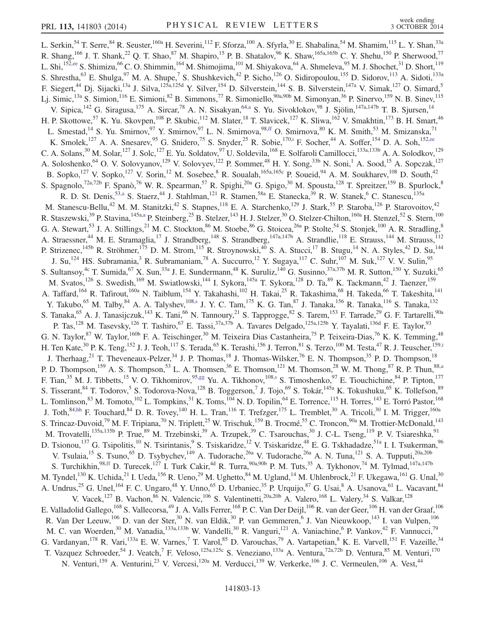<span id="page-12-3"></span><span id="page-12-2"></span><span id="page-12-1"></span><span id="page-12-0"></span>L. Serkin,  $^{54}$  T. Serre,  $^{84}$  R. Seuster,  $^{160a}$  H. Severini,  $^{112}$  F. Sforza,  $^{100}$  A. Sfyrla,  $^{30}$  E. Shabalina,  $^{54}$  M. Shamim,  $^{115}$  L. Y. Shan,  $^{33a}$ R. Shang,  $^{166}$  J. T. Shank,  $^{22}$  Q. T. Shao,  $^{87}$  M. Shapiro,  $^{15}$  P. B. Shatalov,  $^{96}$  K. Shaw,  $^{165a,165b}$  C. Y. Shehu,  $^{150}$  P. Sherwood,  $^{77}$ L. Shi,<sup>15[2,ee](#page-18-5)</sup> S. Shimizu,<sup>66</sup> C. O. Shimmin,<sup>164</sup> M. Shimojima,<sup>101</sup> M. Shiyakova,<sup>64</sup> A. Shmeleva,<sup>95</sup> M. J. Shochet,<sup>31</sup> D. Short,<sup>119</sup> S. Shrestha,<sup>63</sup> E. Shulga,<sup>97</sup> M. A. Shupe,<sup>7</sup> S. Shushkevich,<sup>42</sup> P. Sicho,<sup>126</sup> O. Sidiropoulou,<sup>155</sup> D. Sidorov,<sup>113</sup> A. Sidoti,<sup>133a</sup> F. Siegert,<sup>44</sup> Dj. Sijacki,<sup>13a</sup> J. Silva,<sup>125a,125d</sup> Y. Silver,<sup>154</sup> D. Silverstein,<sup>144</sup> S. B. Silverstein,<sup>147a</sup> V. Simak,<sup>127</sup> O. Simard,<sup>5</sup> Lj. Simic,<sup>13a</sup> S. Simion,<sup>116</sup> E. Simioni,<sup>82</sup> B. Simmons,<sup>77</sup> R. Simoniello,<sup>90a,90b</sup> M. Simonyan,<sup>36</sup> P. Sinervo,<sup>159</sup> N. B. Sinev,<sup>115</sup> V. Sipica, <sup>142</sup> G. Siragusa, <sup>175</sup> A. Sircar, <sup>78</sup> A. N. Sisakyan, <sup>64[,a](#page-17-5)</sup> S. Yu. Sivoklokov, <sup>98</sup> J. Sjölin, <sup>147a, 147b</sup> T. B. Sjursen, <sup>14</sup> H. P. Skottowe,<sup>57</sup> K. Yu. Skovpen,<sup>108</sup> P. Skubic,<sup>112</sup> M. Slater,<sup>18</sup> T. Slavicek,<sup>127</sup> K. Sliwa,<sup>162</sup> V. Smakhtin,<sup>173</sup> B. H. Smart,<sup>46</sup> L. Smestad,<sup>14</sup> S. Yu. Smirnov,<sup>97</sup> Y. Smirnov,<sup>97</sup> L. N. Smirnova,<sup>98[,ff](#page-18-6)</sup> O. Smirnova,<sup>80</sup> K. M. Smith,<sup>53</sup> M. Smizanska,<sup>71</sup> K. Smolek,<sup>127</sup> A. A. Snesarev,<sup>95</sup> G. Snidero,<sup>75</sup> S. Snyder,<sup>25</sup> R. Sobie,<sup>17[0,i](#page-17-8)</sup> F. Socher,<sup>44</sup> A. Soffer,<sup>154</sup> D. A. Soh,<sup>15[2,ee](#page-18-5)</sup> C. A. Solans,<sup>30</sup> M. Solar,<sup>127</sup> J. Solc,<sup>127</sup> E. Yu. Soldatov,<sup>97</sup> U. Soldevila,<sup>168</sup> E. Solfaroli Camillocci,<sup>133a,133b</sup> A. A. Solodkov,<sup>129</sup> A. Soloshenko,<sup>64</sup> O. V. Solovyanov,<sup>129</sup> V. Solovyev,<sup>122</sup> P. Sommer,<sup>48</sup> H. Y. Song,<sup>33b</sup> N. Soni,<sup>1</sup> A. Sood,<sup>15</sup> A. Sopczak,<sup>127</sup> B. Sopko,<sup>127</sup> V. Sopko,<sup>127</sup> V. Sorin,<sup>12</sup> M. Sosebee, <sup>8</sup> R. Soualah,<sup>165a,165c</sup> P. Soueid, <sup>94</sup> A. M. Soukharev, <sup>108</sup> D. South, <sup>42</sup> S. Spagnolo,<sup>72a,72b</sup> F. Spanò,<sup>76</sup> W. R. Spearman,<sup>57</sup> R. Spighi,<sup>20a</sup> G. Spigo,<sup>30</sup> M. Spousta,<sup>128</sup> T. Spreitzer,<sup>159</sup> B. Spurlock,<sup>8</sup> R. D. St. Denis,<sup>5[3,a](#page-17-5)</sup> S. Staerz,<sup>44</sup> J. Stahlman,<sup>121</sup> R. Stamen,<sup>58a</sup> E. Stanecka,<sup>39</sup> R. W. Stanek,<sup>6</sup> C. Stanescu,<sup>135a</sup> M. Stanescu-Bellu,<sup>42</sup> M. M. Stanitzki,<sup>42</sup> S. Stapnes,<sup>118</sup> E. A. Starchenko,<sup>129</sup> J. Stark,<sup>55</sup> P. Staroba,<sup>126</sup> P. Starovoitov,<sup>42</sup> R. Staszewski,<sup>39</sup> P. Stavina,<sup>145a[,a](#page-17-5)</sup> P. Steinberg,<sup>25</sup> B. Stelzer,<sup>143</sup> H. J. Stelzer,<sup>30</sup> O. Stelzer-Chilton,<sup>160a</sup> H. Stenzel,<sup>52</sup> S. Stern,<sup>100</sup> G. A. Stewart,<sup>53</sup> J. A. Stillings,<sup>21</sup> M. C. Stockton,<sup>86</sup> M. Stoebe,<sup>86</sup> G. Stoicea,<sup>26a</sup> P. Stolte,<sup>54</sup> S. Stonjek,<sup>100</sup> A. R. Stradling,<sup>8</sup> A. Straessner,<sup>44</sup> M. E. Stramaglia,<sup>17</sup> J. Strandberg,<sup>148</sup> S. Strandberg,<sup>147a,147b</sup> A. Strandlie,<sup>118</sup> E. Strauss,<sup>144</sup> M. Strauss,<sup>112</sup> P. Strizenec,<sup>145b</sup> R. Ströhmer,<sup>175</sup> D. M. Strom,<sup>115</sup> R. Stroynowski,<sup>40</sup> S. A. Stucci,<sup>17</sup> B. Stugu,<sup>14</sup> N. A. Styles,<sup>42</sup> D. Su,<sup>144</sup> J. Su,<sup>124</sup> HS. Subramania,<sup>3</sup> R. Subramaniam,<sup>78</sup> A. Succurro,<sup>12</sup> Y. Sugaya,<sup>117</sup> C. Suhr,<sup>107</sup> M. Suk,<sup>127</sup> V. V. Sulin,<sup>95</sup> S. Sultansoy,<sup>4c</sup> T. Sumida,<sup>67</sup> X. Sun,<sup>33a</sup> J. E. Sundermann,<sup>48</sup> K. Suruliz,<sup>140</sup> G. Susinno,<sup>37a,37b</sup> M. R. Sutton,<sup>150</sup> Y. Suzuki,<sup>65</sup> M. Svatos,<sup>126</sup> S. Swedish,<sup>169</sup> M. Swiatlowski,<sup>144</sup> I. Sykora,<sup>145a</sup> T. Sykora,<sup>128</sup> D. Ta,<sup>89</sup> K. Tackmann,<sup>42</sup> J. Taenzer,<sup>159</sup> A. Taffard,<sup>164</sup> R. Tafirout,<sup>160a</sup> N. Taiblum,<sup>154</sup> Y. Takahashi,<sup>102</sup> H. Takai,<sup>25</sup> R. Takashima,<sup>68</sup> H. Takeda,<sup>66</sup> T. Takeshita,<sup>141</sup> Y. Takubo,<sup>65</sup> M. Talby,<sup>84</sup> A. A. Talyshev,<sup>10[8,s](#page-17-18)</sup> J. Y. C. Tam,<sup>175</sup> K. G. Tan,<sup>87</sup> J. Tanaka,<sup>156</sup> R. Tanaka,<sup>116</sup> S. Tanaka,<sup>132</sup> S. Tanaka,<sup>65</sup> A. J. Tanasijczuk,<sup>143</sup> K. Tani,<sup>66</sup> N. Tannoury,<sup>21</sup> S. Tapprogge,<sup>82</sup> S. Tarem,<sup>153</sup> F. Tarrade,<sup>29</sup> G. F. Tartarelli,<sup>90a</sup> P. Tas,<sup>128</sup> M. Tasevsky,<sup>126</sup> T. Tashiro,<sup>67</sup> E. Tassi,<sup>37a,37b</sup> A. Tavares Delgado,<sup>125a,125b</sup> Y. Tayalati,<sup>136d</sup> F. E. Taylor,<sup>93</sup> G. N. Taylor,<sup>87</sup> W. Taylor,<sup>160b</sup> F. A. Teischinger,<sup>30</sup> M. Teixeira Dias Castanheira,<sup>75</sup> P. Teixeira-Dias,<sup>76</sup> K. K. Temming,<sup>48</sup> H. Ten Kate,<sup>30</sup> P. K. Teng,<sup>152</sup> J. J. Teoh,<sup>117</sup> S. Terada,<sup>65</sup> K. Terashi,<sup>156</sup> J. Terron,<sup>81</sup> S. Terzo,<sup>100</sup> M. Testa,<sup>47</sup> R. J. Teuscher,<sup>15[9,i](#page-17-8)</sup> J. Therhaag,<sup>21</sup> T. Theveneaux-Pelzer,<sup>34</sup> J. P. Thomas,<sup>18</sup> J. Thomas-Wilsker,<sup>76</sup> E. N. Thompson,<sup>35</sup> P. D. Thompson,<sup>18</sup> P. D. Thompson,<sup>159</sup> A. S. Thompson,<sup>53</sup> L. A. Thomsen,<sup>36</sup> E. Thomson,<sup>121</sup> M. Thomson,<sup>28</sup> W. M. Thong,<sup>87</sup> R. P. Thun,<sup>8[8,a](#page-17-5)</sup> F. Tian,<sup>35</sup> M. J. Tibbetts,<sup>15</sup> V. O. Tikhomirov,<sup>95[,gg](#page-18-7)</sup> Yu. A. Tikhonov,<sup>10[8,s](#page-17-18)</sup> S. Timoshenko,<sup>97</sup> E. Tiouchichine,<sup>84</sup> P. Tipton,<sup>177</sup> S. Tisserant, <sup>84</sup> T. Todorov, <sup>5</sup> S. Todorova-Nova, <sup>128</sup> B. Toggerson, <sup>7</sup> J. Tojo, <sup>69</sup> S. Tokár, <sup>145a</sup> K. Tokushuku, <sup>65</sup> K. Tollefson, <sup>89</sup> L. Tomlinson, $^{83}$  M. Tomoto, $^{102}$  L. Tompkins, $^{31}$  K. Toms, $^{104}$  N. D. Topilin, $^{64}$  E. Torrence, $^{115}$  H. Torres, $^{143}$  E. Torró Pastor, $^{168}$ J. Toth,<sup>84[,hh](#page-18-8)</sup> F. Touchard,<sup>84</sup> D. R. Tovey,<sup>140</sup> H. L. Tran,<sup>116</sup> T. Trefzger,<sup>175</sup> L. Tremblet,<sup>30</sup> A. Tricoli,<sup>30</sup> I. M. Trigger,<sup>160a</sup> S. Trincaz-Duvoid,<sup>79</sup> M. F. Tripiana,<sup>70</sup> N. Triplett,<sup>25</sup> W. Trischuk,<sup>159</sup> B. Trocmé,<sup>55</sup> C. Troncon,<sup>90a</sup> M. Trottier-McDonald,<sup>143</sup> M. Trovatelli,<sup>135a,135b</sup> P. True,<sup>89</sup> M. Trzebinski,<sup>39</sup> A. Trzupek,<sup>39</sup> C. Tsarouchas,<sup>30</sup> J. C-L. Tseng,<sup>119</sup> P. V. Tsiareshka,<sup>91</sup> D. Tsionou,<sup>137</sup> G. Tsipolitis,<sup>10</sup> N. Tsirintanis,<sup>9</sup> S. Tsiskaridze,<sup>12</sup> V. Tsiskaridze,<sup>48</sup> E. G. Tskhadadze,<sup>51a</sup> I. I. Tsukerman,<sup>96</sup> V. Tsulaia,<sup>15</sup> S. Tsuno,<sup>65</sup> D. Tsybychev,<sup>149</sup> A. Tudorache,<sup>26a</sup> V. Tudorache,<sup>26a</sup> A. N. Tuna,<sup>121</sup> S. A. Tupputi,<sup>20a,20b</sup> S. Turchikhin,<sup>98[,ff](#page-18-6)</sup> D. Turecek,<sup>127</sup> I. Turk Cakir,<sup>4d</sup> R. Turra,<sup>90a,90b</sup> P. M. Tuts,<sup>35</sup> A. Tykhonov,<sup>74</sup> M. Tylmad,<sup>147a,147b</sup> M. Tyndel, $^{130}$  K. Uchida, $^{21}$  I. Ueda, $^{156}$  R. Ueno, $^{29}$  M. Ughetto, $^{84}$  M. Ugland, $^{14}$  M. Uhlenbrock, $^{21}$  F. Ukegawa, $^{161}$  G. Unal, $^{30}$ A. Undrus,<sup>25</sup> G. Unel,<sup>164</sup> F. C. Ungaro,<sup>48</sup> Y. Unno,<sup>65</sup> D. Urbaniec,<sup>35</sup> P. Urquijo,<sup>87</sup> G. Usai,<sup>8</sup> A. Usanova,<sup>61</sup> L. Vacavant,<sup>84</sup> V. Vacek,  $^{127}$  B. Vachon,  $^{86}$  N. Valencic,  $^{106}$  S. Valentinetti,  $^{20a,20b}$  A. Valero,  $^{168}$  L. Valery,  $^{34}$  S. Valkar,  $^{128}$ E. Valladolid Gallego,<sup>168</sup> S. Vallecorsa,<sup>49</sup> J. A. Valls Ferrer,<sup>168</sup> P. C. Van Der Deijl,<sup>106</sup> R. van der Geer,<sup>106</sup> H. van der Graaf,<sup>106</sup> R. Van Der Leeuw,<sup>106</sup> D. van der Ster,<sup>30</sup> N. van Eldik,<sup>30</sup> P. van Gemmeren,<sup>6</sup> J. Van Nieuwkoop,<sup>143</sup> I. van Vulpen,<sup>106</sup> M. C. van Woerden,<sup>30</sup> M. Vanadia,<sup>133a,133b</sup> W. Vandelli,<sup>30</sup> R. Vanguri,<sup>121</sup> A. Vaniachine,<sup>6</sup> P. Vankov,<sup>42</sup> F. Vannucci,<sup>79</sup> G. Vardanyan, <sup>178</sup> R. Vari, <sup>133a</sup> E. W. Varnes, 7 T. Varol, <sup>85</sup> D. Varouchas, <sup>79</sup> A. Vartapetian, <sup>8</sup> K. E. Varvell, <sup>151</sup> F. Vazeille, <sup>34</sup> T. Vazquez Schroeder,<sup>54</sup> J. Veatch,<sup>7</sup> F. Veloso,<sup>125a,125c</sup> S. Veneziano,<sup>133a</sup> A. Ventura,<sup>72a,72b</sup> D. Ventura,<sup>85</sup> M. Venturi,<sup>170</sup> N. Venturi,<sup>159</sup> A. Venturini,<sup>23</sup> V. Vercesi,<sup>120a</sup> M. Verducci,<sup>139</sup> W. Verkerke,<sup>106</sup> J. C. Vermeulen,<sup>106</sup> A. Vest,<sup>44</sup>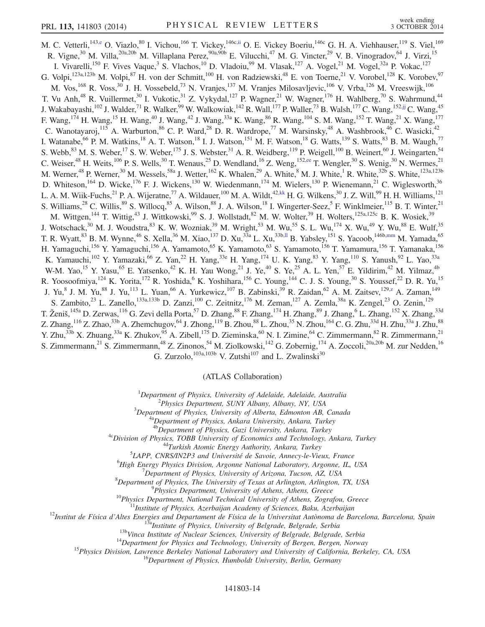<span id="page-13-2"></span><span id="page-13-1"></span><span id="page-13-0"></span>M. C. Vetterli,<sup>143[,e](#page-17-3)</sup> O. Viazlo,<sup>80</sup> I. Vichou,<sup>166</sup> T. Vickey,<sup>146c[,ii](#page-18-9)</sup> O. E. Vickey Boeriu,<sup>146c</sup> G. H. A. Viehhauser,<sup>119</sup> S. Viel,<sup>169</sup> R. Vigne,<sup>30</sup> M. Villa,<sup>20a,20b</sup> M. Villaplana Perez,<sup>90a,90b</sup> E. Vilucchi,<sup>47</sup> M. G. Vincter,<sup>29</sup> V. B. Vinogradov,<sup>64</sup> J. Virzi,<sup>15</sup> I. Vivarelli,<sup>150</sup> F. Vives Vaque,<sup>3</sup> S. Vlachos,<sup>10</sup> D. Vladoiu,<sup>99</sup> M. Vlasak,<sup>127</sup> A. Vogel,<sup>21</sup> M. Vogel,<sup>32a</sup> P. Vokac,<sup>127</sup> G. Volpi,  $^{123a,123b}$  M. Volpi,  $^{87}$  H. von der Schmitt,  $^{100}$  H. von Radziewski,  $^{48}$  E. von Toerne,  $^{21}$  V. Vorobel,  $^{128}$  K. Vorobev,  $^{97}$ M. Vos,<sup>168</sup> R. Voss,<sup>30</sup> J. H. Vossebeld,<sup>73</sup> N. Vranjes,<sup>137</sup> M. Vranjes Milosavljevic,<sup>106</sup> V. Vrba,<sup>126</sup> M. Vreeswijk,<sup>106</sup> T. Vu Anh,<sup>48</sup> R. Vuillermet,<sup>30</sup> I. Vukotic,<sup>31</sup> Z. Vykydal,<sup>127</sup> P. Wagner,<sup>21</sup> W. Wagner,<sup>176</sup> H. Wahlberg,<sup>70</sup> S. Wahrmund,<sup>44</sup> J. Wakabayashi,<sup>102</sup> J. Walder,<sup>71</sup> R. Walker,<sup>99</sup> W. Walkowiak,<sup>142</sup> R. Wall,<sup>177</sup> P. Waller,<sup>73</sup> B. Walsh,<sup>177</sup> C. Wang,<sup>152[,jj](#page-18-10)</sup> C. Wang,<sup>45</sup> F. Wang,<sup>174</sup> H. Wang,<sup>15</sup> H. Wang,<sup>40</sup> J. Wang,<sup>42</sup> J. Wang,<sup>33a</sup> K. Wang,<sup>86</sup> R. Wang,<sup>104</sup> S. M. Wang,<sup>152</sup> T. Wang,<sup>21</sup> X. Wang,<sup>177</sup> C. Wanotayaroj,<sup>115</sup> A. Warburton,<sup>86</sup> C. P. Ward,<sup>28</sup> D. R. Wardrope,<sup>77</sup> M. Warsinsky,<sup>48</sup> A. Washbrook,<sup>46</sup> C. Wasicki,<sup>42</sup> I. Watanabe, <sup>66</sup> P. M. Watkins, <sup>18</sup> A. T. Watson, <sup>18</sup> I. J. Watson, <sup>151</sup> M. F. Watson, <sup>18</sup> G. Watts, <sup>139</sup> S. Watts, <sup>83</sup> B. M. Waugh, <sup>77</sup> S. Webb,  $83$  M. S. Weber,  $17$  S. W. Weber,  $175$  J. S. Webster,  $31$  A. R. Weidberg,  $119$  P. Weigell,  $100$  B. Weinert,  $60$  J. Weingarten,  $54$ C. Weiser,<sup>48</sup> H. Weits,<sup>106</sup> P. S. Wells,<sup>30</sup> T. Wenaus,<sup>25</sup> D. Wendland,<sup>16</sup> Z. Weng,<sup>15[2,ee](#page-18-5)</sup> T. Wengler,<sup>30</sup> S. Wenig,<sup>30</sup> N. Wermes,<sup>21</sup> M. Werner,<sup>48</sup> P. Werner,<sup>30</sup> M. Wessels,<sup>58a</sup> J. Wetter,<sup>162</sup> K. Whalen,<sup>29</sup> A. White,<sup>8</sup> M. J. White,<sup>1</sup> R. White,<sup>32b</sup> S. White,<sup>123a,123b</sup> D. Whiteson,<sup>164</sup> D. Wicke,<sup>176</sup> F. J. Wickens,<sup>130</sup> W. Wiedenmann,<sup>174</sup> M. Wielers,<sup>130</sup> P. Wienemann,<sup>21</sup> C. Wiglesworth,<sup>36</sup> L. A. M. Wiik-Fuchs,<sup>21</sup> P. A. Wijeratne,<sup>77</sup> A. Wildauer,<sup>100</sup> M. A. Wildt,<sup>4[2,kk](#page-18-11)</sup> H. G. Wilkens,<sup>30</sup> J. Z. Will,<sup>99</sup> H. H. Williams,<sup>121</sup> S. Williams,  $^{28}$  C. Willis,  $^{89}$  S. Willocq,  $^{85}$  A. Wilson,  $^{88}$  J. A. Wilson,  $^{18}$  I. Wingerter-Seez,  $^5$  F. Winklmeier,  $^{115}$  B. T. Winter,  $^{21}$ M. Wittgen,<sup>144</sup> T. Wittig,<sup>43</sup> J. Wittkowski,<sup>99</sup> S. J. Wollstadt,<sup>82</sup> M. W. Wolter,<sup>39</sup> H. Wolters,<sup>125a,125c</sup> B. K. Wosiek,<sup>39</sup> J. Wotschack,<sup>30</sup> M. J. Woudstra,<sup>83</sup> K. W. Wozniak,<sup>39</sup> M. Wright,<sup>53</sup> M. Wu,<sup>55</sup> S. L. Wu,<sup>174</sup> X. Wu,<sup>49</sup> Y. Wu,<sup>88</sup> E. Wulf,<sup>35</sup> T. R. Wyatt,<sup>83</sup> B. M. Wynne,<sup>46</sup> S. Xella,<sup>36</sup> M. Xiao,<sup>137</sup> D. Xu,<sup>33a</sup> L. Xu,<sup>33b[,ll](#page-18-12)</sup> B. Yabsley,<sup>151</sup> S. Yacoob,<sup>146[b,mm](#page-18-13)</sup> M. Yamada,<sup>65</sup> H. Yamaguchi,<sup>156</sup> Y. Yamaguchi,<sup>156</sup> A. Yamamoto,<sup>65</sup> K. Yamamoto,<sup>63</sup> S. Yamamoto,<sup>156</sup> T. Yamamura,<sup>156</sup> T. Yamanaka,<sup>156</sup> K. Yamauchi,<sup>102</sup> Y. Yamazaki,<sup>66</sup> Z. Yan,<sup>22</sup> H. Yang,<sup>33e</sup> H. Yang,<sup>174</sup> U. K. Yang,<sup>83</sup> Y. Yang,<sup>110</sup> S. Yanush,<sup>92</sup> L. Yao,<sup>33a</sup> W-M. Yao,<sup>15</sup> Y. Yasu,<sup>65</sup> E. Yatsenko,<sup>42</sup> K. H. Yau Wong,<sup>21</sup> J. Ye,<sup>40</sup> S. Ye,<sup>25</sup> A. L. Yen,<sup>57</sup> E. Yildirim,<sup>42</sup> M. Yilmaz,<sup>4b</sup> R. Yoosoofmiya,<sup>124</sup> K. Yorita,<sup>172</sup> R. Yoshida,<sup>6</sup> K. Yoshihara,<sup>156</sup> C. Young,<sup>144</sup> C. J. S. Young,<sup>30</sup> S. Youssef,<sup>22</sup> D. R. Yu,<sup>15</sup> J. Yu,<sup>8</sup> J. M. Yu,<sup>88</sup> J. Yu,<sup>113</sup> L. Yuan,<sup>66</sup> A. Yurkewicz,<sup>107</sup> B. Zabinski,<sup>39</sup> R. Zaidan,<sup>62</sup> A. M. Zaitsev,<sup>12[9,z](#page-18-1)</sup> A. Zaman,<sup>149</sup> S. Zambito,<sup>23</sup> L. Zanello,<sup>133a,133b</sup> D. Zanzi,<sup>100</sup> C. Zeitnitz,<sup>176</sup> M. Zeman,<sup>127</sup> A. Zemla,<sup>38a</sup> K. Zengel,<sup>23</sup> O. Zenin,<sup>129</sup> T. Ženiš,<sup>145a</sup> D. Zerwas,<sup>116</sup> G. Zevi della Porta,<sup>57</sup> D. Zhang,<sup>88</sup> F. Zhang,<sup>174</sup> H. Zhang,<sup>89</sup> J. Zhang,<sup>6</sup> L. Zhang,<sup>152</sup> X. Zhang,<sup>33d</sup> Z. Zhang, $^{116}$  Z. Zhao, $^{33b}$  A. Zhemchugov, $^{64}$  J. Zhong, $^{119}$  B. Zhou, $^{88}$  L. Zhou, $^{35}$  N. Zhou, $^{164}$  C. G. Zhu, $^{33d}$  H. Zhu, $^{33a}$  J. Zhu, $^{88}$ Y. Zhu,<sup>33b</sup> X. Zhuang,<sup>33a</sup> K. Zhukov,<sup>95</sup> A. Zibell,<sup>175</sup> D. Zieminska,<sup>60</sup> N. I. Zimine,<sup>64</sup> C. Zimmermann,<sup>82</sup> R. Zimmermann,<sup>21</sup> S. Zimmermann,<sup>21</sup> S. Zimmermann,<sup>48</sup> Z. Zinonos,<sup>54</sup> M. Ziolkowski,<sup>142</sup> G. Zobernig,<sup>174</sup> A. Zoccoli,<sup>20a,20b</sup> M. zur Nedden,<sup>16</sup> G. Zurzolo, $^{103a,103b}$  V. Zutshi<sup>107</sup> and L. Zwalinski<sup>30</sup>

(ATLAS Collaboration)

<span id="page-13-3"></span><sup>1</sup>Department of Physics, University of Adelaide, Adelaide, Australia <sup>2</sup> Physics, Danartmant, SUNY Albamy, Albamy, NY USA

 $P<sup>2</sup> Physics Department, SUNY Albany, Albany, NY, USA$ 

<sup>3</sup>Department of Physics, University of Alberta, Edmonton AB, Canada<br><sup>4a</sup>Department of Physics, Ankara University, Ankara, Turkey<br><sup>4b</sup>Department of Physics, Gazi University, Ankara, Turkey

<sup>4c</sup>Division of Physics, TOBB University of Economics and Technology, Ankara, Turkey <sup>4d</sup>Turkish Atomic Energy Authority, Ankara, Turkey

 ${}^{5}$ LAPP, CNRS/IN2P3 and Université de Savoie, Annecy-le-Vieux, France

<sup>6</sup>High Energy Physics Division, Argonne National Laboratory, Argonne, IL, USA

 $^7$ Department of Physics, University of Arizona, Tucson, AZ, USA

<sup>8</sup>Department of Physics, The University of Texas at Arlington, Arlington, TX, USA <sup>9</sup>Physics Department, University of Athens, Athens, Greece

<sup>10</sup>Physics Department, National Technical University of Athens, Zografou, Greece<br><sup>11</sup>Institute of Physics, Azerbaijan Academy of Sciences, Baku, Azerbaijan<br><sup>12</sup>Institut de Física d'Altes Energies and Department de Física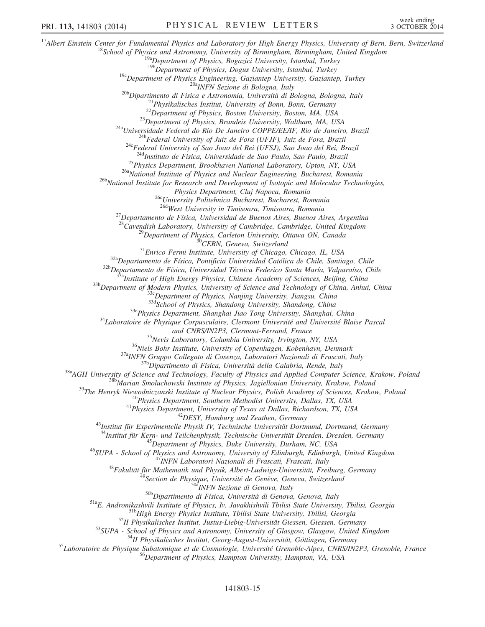<sup>17</sup>Albert Einstein Center for Fundamental Physics and Laboratory for High Energy Physics, University of Bern, Bern, Switzerland<br><sup>18</sup>School of Physics and Astronomy, University of Birmingham, Birmingham, United Kingdom<br><sup>1</sup> <sup>19c</sup>Department of Physics Engineering, Gaziantep University, Gaziantep, Turkey<br><sup>20b</sup>Dipartimento di Fisica e Astronomia, Università di Bologna, Bologna, Italy<br><sup>21</sup>Physikalisches Institut, University of Bonn, Bonn, German <sup>25</sup>Physics Department, Brookhaven National Laboratory, Upton, NY, USA<br><sup>26a</sup>National Institute of Physics and Nuclear Engineering, Bucharest, Romania<br><sup>26b</sup>National Institute for Research and Development of Isotopic and Mo Physics Department, Cluj Napoca, Romania<br><sup>26c</sup>University Politehnica Bucharest, Bucharest, Romania<br><sup>26d</sup>West University in Timisoara, Timisoara, Romania <sup>27</sup>Departamento de Física, Universidad de Buenos Aires, Buenos Aires, Argentina <sup>28</sup>Cavendish Laboratory, University of Cambridge, Cambridge, United Kingdom <sup>28</sup>Cavendish Laboratory, University of Cambridge, Cambridge, United Kingdom<br><sup>29</sup>Department of Physics, Carleton University, Ottawa ON, Canada<br><sup>30</sup>CERN, Geneva, Switzerland<br><sup>31</sup>Enrico Fermi Institute, University of Chicag and CNRS/IN2P3, Clermont-Ferrand, France<br><sup>35</sup>Nevis Laboratory, Columbia University, Irvington, NY, USA<br><sup>36</sup>Niels Bohr Institute, University of Copenhagen, Kobenhavn, Denmark<br><sup>374</sup>INFN Gruppo Collegato di Cosenza, Laborator <sup>44</sup>Institut für Kern- und Teilchenphysik, Technische Universität Dresden, Dresden, Germany<br><sup>45</sup>Deparment of Physics, Duke University, Durham, NC, USA<br><sup>46</sup>SUPA - School of Physics and Astronomy, University of Edinburgh, E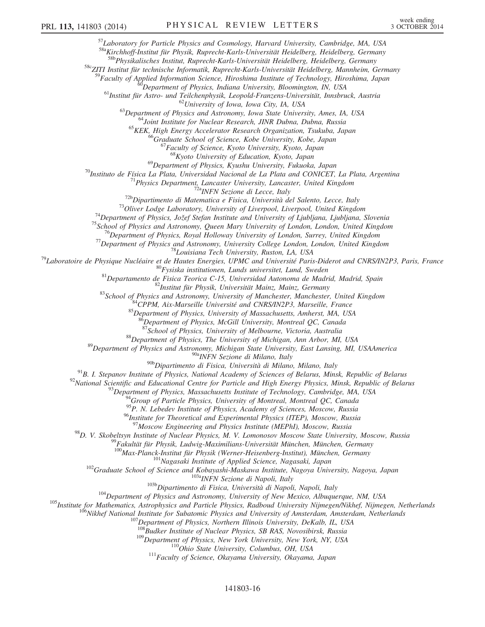$57$ Laboratory for Particle Physics and Cosmology, Harvard University, Cambridge, MA, USA

<sup>58a</sup>Kirchhoff-Institut für Physik, Ruprecht-Karls-Universität Heidelberg, Heidelberg, Germany<br><sup>58b</sup>Physikalisches Institut, Ruprecht-Karls-Universität Heidelberg, Heidelberg, Germany

58c<sub>ZITI</sub> Institut für technische Informatik, Ruprecht-Karls-Universität Heidelberg, Mannheim, Germany

<sup>59</sup>Faculty of Applied Information Science, Hiroshima Institute of Technology, Hiroshima, Japan<br><sup>60</sup>Department of Physics, Indiana University, Bloomington, IN, USA<br><sup>61</sup>Institut für Astro- und Teilchenphysik, Leopold-Franz

 $^{68}$ Kyoto University of Education, Kyoto, Japan<br> $^{69}$ Department of Physics, Kyushu University, Fukuoka, Japan

<sup>50</sup><br>
Partinuto de Física La Plata, University, Fukuoka, Japan<br>
<sup>70</sup> Instituto de Física La Plata (Diversida Nacional de La Plata and CONICET, La Plata, Argentina<br>
<sup>71</sup> Physics Department, Lancaster University, Lancaster,

 $\frac{1}{2}$ Department of Physics, McGill University, Montreal QC, Canada<br><sup>87</sup>School of Physics, University of Melbourne, Victoria, Australia

<sup>88</sup>Department of Physics, The University of Michigan, Ann Arbor, MI, USA<br><sup>89</sup>Department of Physics and Astronomy, Michigan State University, East Lansing, MI, USAAmerica<br><sup>908</sup>Dipartimento di Fisica, Università di Milano,

<sup>91</sup>B. I. Stepanov Institute of Physics, National Academy of Sciences of Belarus, Minsk, Republic of Belarus<br><sup>92</sup>National Scientific and Educational Centre for Particle and High Energy Physics, Minsk, Republic of Belarus<br>

<sup>95</sup>P. N. Lebedev Institute of Physics, Academy of Sciences, Moscow, Russia

<sup>96</sup>Institute for Theoretical and Experimental Physics (ITEP), Moscow, Russia<br><sup>97</sup>Moscow Engineering and Physics Institute (MEPhI), Moscow, Russia

<sup>98</sup>D. V. Skobeltsyn Institute of Nuclear Physics, M. V. Lomonosov Moscow State University, Moscow, Russia<br><sup>99</sup>Fakultät für Physik, Ludwig-Maximilians-Universität München, München, Germany<br><sup>100</sup>Max-Planck-Institut für Phys

<sup>102</sup>Craduate School of Science and Kobayashi-Maskawa Institute, Nagoya University, Nagoya, Japan<br><sup>102</sup>Craduate School of Science and Kobayashi-Maskawa Institute, Nagoya University, Nagoya, Japan<br><sup>103</sup>Dipartimento di Fisi

<sup>109</sup>Department of Physics, New York University, New York, NY, USA<br><sup>110</sup>Ohio State University, Columbus, OH, USA<br><sup>111</sup>Faculty of Science, Okayama University, Okayama, Japan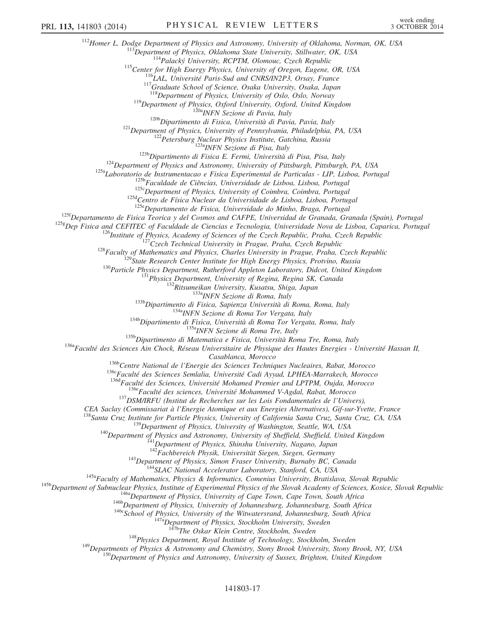<sup>112</sup>Homer L. Dodge Department of Physics and Astronomy, University of Oklahoma, Norman, OK, USA<br><sup>113</sup>Department of Physics, Oklahoma State University, Stillwater, OK, USA<br><sup>114</sup>Palacký University, RCPTM, Olomouc, Czech Re <sup>119</sup>Department of Physics, Oxford University, Oxford, United Kingdom<br><sup>1206</sup>Dipartimento di Fisica, University, Oxford, United Kingdom<br><sup>1206</sup>Dipartimento di Fisica, Università di Pavia, Pavia, Italy<br><sup>121</sup>Department of Phy <sup>125f</sup>Departamento de Fisica Teorica y del Cosmos and CAFPE, Universidad de Granada, Granada (Spain), Portugal<br><sup>125g</sup>Dep Fisica and CEFITEC of Faculdade de Ciencias e Tecnologia, Universidade Nova de Lisboa, Caparica, Port <sup>125g</sup>Dep Fisica and CEFITEC of Faculdade de Ciencias e Tecnologia, Universidade Nova de Lisboa, Caparica, Portugal<br><sup>126</sup>lhstitute of Physics, Academy of Sciences of the Czech Republic, Praha, Czech Republic<br><sup>127</sup>Czech Te Casablanca, Morocco<br>
<sup>1366</sup>Centre National de l'Energie des Sciences Techniques Nucleaires, Rabat, Morocco<br>
<sup>1366</sup>Faculté des Sciences Semlalia, Université Cadi Ayyad, LPHEA-Marrakech, Morocco<br>
<sup>1366</sup>Faculté des Sciences, <sup>138</sup>Santa Cruz Institute for Particle Physics, University of California Santa Cruz, Santa Cruz, CA, USA<br><sup>139</sup>Department of Physics, University of Washington, Seattle, WA, USA<br><sup>140</sup>Department of Physics and Astronomy, Uni <sup>143</sup>Department of Physics, Simon Fraser University, Burnaby BC, Canada<br><sup>145a</sup>Faculty of Mathematics, Physics & Informatics, Comenius University, Bratislava, Slovak Republic<br><sup>145a</sup>Department of Subnuclear Physics, Institu <sup>148</sup>Physics Department, Royal Institute of Technology, Stockholm, Sweden<br><sup>149</sup>Departments of Physics & Astronomy and Chemistry, Stony Brook University, Stony Brook, NY, USA<br><sup>150</sup>Department of Physics and Astronomy, Univer

141803-17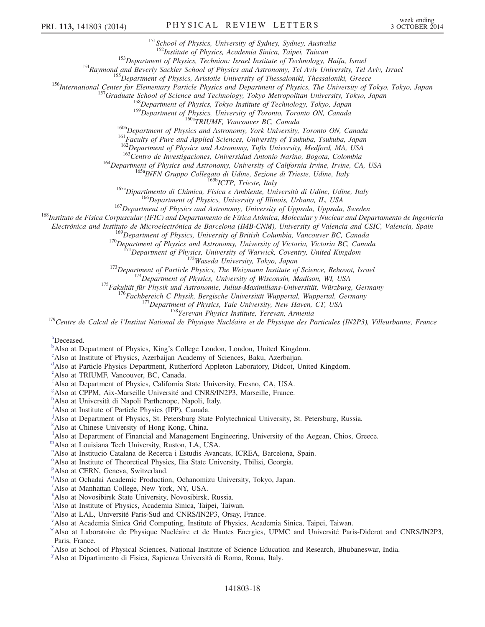<sup>151</sup>School of Physics, University of Sydney, Sydney, Australia<br><sup>152</sup>Institute of Physics, Academia Sinica, Taipei, Taiwan

<sup>153</sup>Department of Physics, Technion: Israel Institute of Technology, Haifa, Israel<br><sup>154</sup>Raymond and Beverly Sackler School of Physics and Astronomy, Tel Aviv University, Tel Aviv, Israel<br><sup>155</sup>Department of Physics, Arist

<sup>159</sup>Department of Physics, University of Toronto, Toronto ON, Canada<br><sup>160a</sup>TRIUMF, Vancouver BC, Canada<br><sup>160a</sup>TRIUMF, Vancouver BC, Canada<br><sup>161</sup>Eaculty of Pure and Applied Sciences, University of Tsukuba, Tsukuba, Japan<br>

<sup>163</sup>Centro de Investigaciones, Universidad Antonio Narino, Bogota, Colombia<br><sup>164</sup>Department of Physics and Astronomy, University of California Irvine, Irvine, CA, USA<br><sup>165</sup>a INFN Gruppo Collegato di Udine, Sezione di Tri

Electrónica and Instituto de Microelectrónica de Barcelona (IMB-CNM), University of Valencia and CSIC, Valencia, Spain<br><sup>169</sup>Department of Physics, University of British Columbia, Vancouver BC, Canada

<sup>169</sup>Department of Physics, University of British Columbia, Vancouver BC, Canada<br><sup>170</sup>Department of Physics and Astronomy, University of Victoria, Victoria BC, Canada<br><sup>171</sup>Department of Physics, University of Warwick, Cov

<span id="page-17-5"></span>[a](#page-6-0) Deceased.

<span id="page-17-0"></span> $\mu^b$  $\mu^b$ Also at Department of Physi[c](#page-5-29)s, King's College London, London, United Kingdom.

<span id="page-17-1"></span>Also at Institute of Physics, Azerbaijan Academy of Sciences, Baku, Azerbaijan.

<span id="page-17-2"></span><sup>[d](#page-6-1)</sup>Also at Particle Physics Department, Rutherford Appleton Laboratory, Didcot, United Kingdom.

<span id="page-17-3"></span>[e](#page-6-2) Also at TRIUMF, Vancouver, BC, Canada.

<span id="page-17-4"></span>[f](#page-6-3) Also at Department of Physics, California State University, Fresno, CA, USA.

- <span id="page-17-6"></span><sup>[g](#page-7-0)</sup> Also at CPPM, Aix-Marseille Université and CNRS/IN2P3, Marseille, France.
- <span id="page-17-7"></span>[h](#page-7-1) Also at Università di Napoli Parthenope, Napoli, Italy.
- <span id="page-17-8"></span><sup>[i](#page-7-2)</sup>Also at Institute of Particle Physics (IPP), Canada.
- <span id="page-17-9"></span>[j](#page-7-3) Also at Department of Physics, St. Petersburg State Polytechnical University, St. Petersburg, Russia.
- <span id="page-17-10"></span>[k](#page-7-4) Also at Chinese University of Hong Kong, China.
- <span id="page-17-11"></span><sup>1</sup>A[l](#page-8-0)so at Department of Financial and Management Engineering, University of the Aegean, Chios, Greece.
- <span id="page-17-12"></span>[m](#page-8-1)Also at Louisiana Tech University, Ruston, LA, USA.
- <span id="page-17-13"></span>[n](#page-8-2) Also at Institucio Catalana de Recerca i Estudis Avancats, ICREA, Barcelona, Spain.
- <span id="page-17-14"></span><sup>[o](#page-9-0)</sup> Also at Institute of Theoretical Physics, Ilia State University, Tbilisi, Georgia.
- <span id="page-17-15"></span><su[p](#page-9-1)>p</sup>Also at CERN, Geneva, Switzerland.
- <span id="page-17-16"></span><sup>[q](#page-9-2)</sup>Also at Ochadai Academic Production, Ochanomizu University, Tokyo, Japan.
- <span id="page-17-17"></span>[r](#page-9-2) Also at Manhattan College, New York, NY, USA.
- <span id="page-17-18"></span>[s](#page-9-3) Also at Novosibirsk State University, Novosibirsk, Russia.

<span id="page-17-19"></span>[t](#page-9-4) Also at Institute of Physics, Academia Sinica, Taipei, Taiwan.

- <span id="page-17-20"></span><s[u](#page-9-5)p>u</sup>Also at LAL, Université Paris-Sud and CNRS/IN2P3, Orsay, France.
- <span id="page-17-21"></span>[v](#page-9-6) Also at Academia Sinica Grid Computing, Institute of Physics, Academia Sinica, Taipei, Taiwan.

- <span id="page-17-23"></span>[x](#page-10-0) Also at School of Physical Sciences, National Institute of Science Education and Research, Bhubaneswar, India.
- <span id="page-17-24"></span>[y](#page-10-1) Also at Dipartimento di Fisica, Sapienza Università di Roma, Roma, Italy.

<span id="page-17-22"></span>[w](#page-9-7)Also at Laboratoire de Physique Nucléaire et de Hautes Energies, UPMC and Université Paris-Diderot and CNRS/IN2P3, Paris, France.